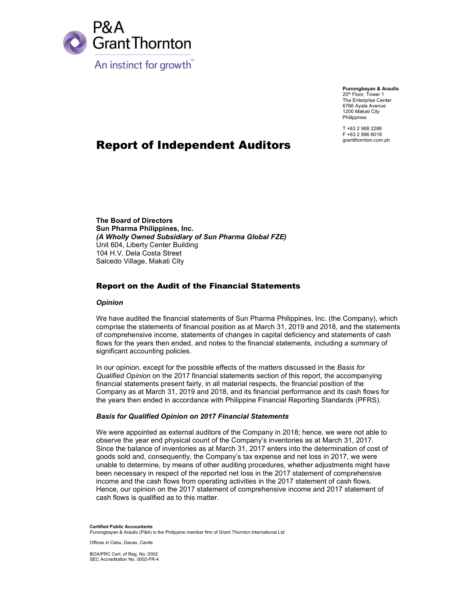

**Punongbayan & Araullo**  20th Floor, Tower 1 The Enterprise Center 6766 Ayala Avenue 1200 Makati City Philippines

T +63 2 988 2288 F +63 2 886 6019 grantthornton.com.ph

# Report of Independent Auditors

**The Board of Directors Sun Pharma Philippines, Inc.**  *(A Wholly Owned Subsidiary of Sun Pharma Global FZE)* Unit 604, Liberty Center Building 104 H.V. Dela Costa Street Salcedo Village, Makati City

# Report on the Audit of the Financial Statements

### *Opinion*

We have audited the financial statements of Sun Pharma Philippines, Inc. (the Company), which comprise the statements of financial position as at March 31, 2019 and 2018, and the statements of comprehensive income, statements of changes in capital deficiency and statements of cash flows for the years then ended, and notes to the financial statements, including a summary of significant accounting policies.

In our opinion, except for the possible effects of the matters discussed in the *Basis for Qualified Opinion* on the 2017 financial statements section of this report, the accompanying financial statements present fairly, in all material respects, the financial position of the Company as at March 31, 2019 and 2018, and its financial performance and its cash flows for the years then ended in accordance with Philippine Financial Reporting Standards (PFRS).

### *Basis for Qualified Opinion on 2017 Financial Statements*

We were appointed as external auditors of the Company in 2018; hence, we were not able to observe the year end physical count of the Company's inventories as at March 31, 2017. Since the balance of inventories as at March 31, 2017 enters into the determination of cost of goods sold and, consequently, the Company's tax expense and net loss in 2017, we were unable to determine, by means of other auditing procedures, whether adjustments might have been necessary in respect of the reported net loss in the 2017 statement of comprehensive income and the cash flows from operating activities in the 2017 statement of cash flows. Hence, our opinion on the 2017 statement of comprehensive income and 2017 statement of cash flows is qualified as to this matter.

**Certified Public Accountants** Punongbayan & Araullo (P&A) is the Philippine member firm of Grant Thornton International Ltd

Offices in Cebu, Davao, Cavite

BOA/PRC Cert. of Reg. No. 0002 SEC Accreditation No. 0002-FR-4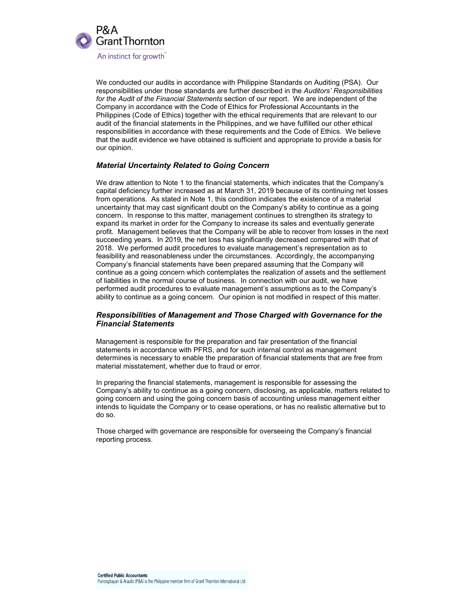

We conducted our audits in accordance with Philippine Standards on Auditing (PSA). Our responsibilities under those standards are further described in the *Auditors' Responsibilities for the Audit of the Financial Statements* section of our report. We are independent of the Company in accordance with the Code of Ethics for Professional Accountants in the Philippines (Code of Ethics) together with the ethical requirements that are relevant to our audit of the financial statements in the Philippines, and we have fulfilled our other ethical responsibilities in accordance with these requirements and the Code of Ethics. We believe that the audit evidence we have obtained is sufficient and appropriate to provide a basis for our opinion.

### *Material Uncertainty Related to Going Concern*

We draw attention to Note 1 to the financial statements, which indicates that the Company's capital deficiency further increased as at March 31, 2019 because of its continuing net losses from operations. As stated in Note 1, this condition indicates the existence of a material uncertainty that may cast significant doubt on the Company's ability to continue as a going concern. In response to this matter, management continues to strengthen its strategy to expand its market in order for the Company to increase its sales and eventually generate profit. Management believes that the Company will be able to recover from losses in the next succeeding years. In 2019, the net loss has significantly decreased compared with that of 2018. We performed audit procedures to evaluate management's representation as to feasibility and reasonableness under the circumstances. Accordingly, the accompanying Company's financial statements have been prepared assuming that the Company will continue as a going concern which contemplates the realization of assets and the settlement of liabilities in the normal course of business. In connection with our audit, we have performed audit procedures to evaluate management's assumptions as to the Company's ability to continue as a going concern. Our opinion is not modified in respect of this matter.

# *Responsibilities of Management and Those Charged with Governance for the Financial Statements*

Management is responsible for the preparation and fair presentation of the financial statements in accordance with PFRS, and for such internal control as management determines is necessary to enable the preparation of financial statements that are free from material misstatement, whether due to fraud or error.

In preparing the financial statements, management is responsible for assessing the Company's ability to continue as a going concern, disclosing, as applicable, matters related to going concern and using the going concern basis of accounting unless management either intends to liquidate the Company or to cease operations, or has no realistic alternative but to do so.

Those charged with governance are responsible for overseeing the Company's financial reporting process.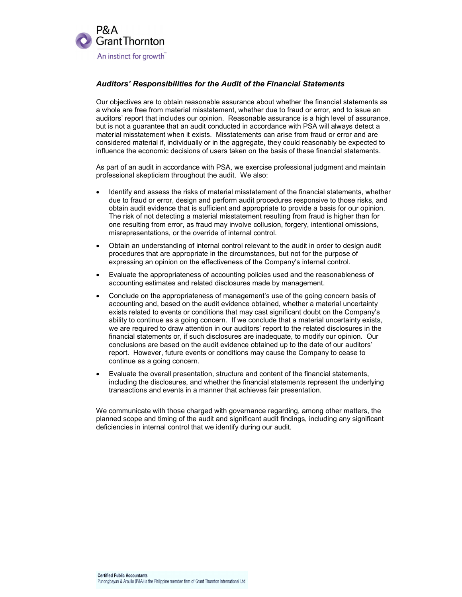

# *Auditors' Responsibilities for the Audit of the Financial Statements*

Our objectives are to obtain reasonable assurance about whether the financial statements as a whole are free from material misstatement, whether due to fraud or error, and to issue an auditors' report that includes our opinion. Reasonable assurance is a high level of assurance, but is not a guarantee that an audit conducted in accordance with PSA will always detect a material misstatement when it exists. Misstatements can arise from fraud or error and are considered material if, individually or in the aggregate, they could reasonably be expected to influence the economic decisions of users taken on the basis of these financial statements.

As part of an audit in accordance with PSA, we exercise professional judgment and maintain professional skepticism throughout the audit. We also:

- Identify and assess the risks of material misstatement of the financial statements, whether due to fraud or error, design and perform audit procedures responsive to those risks, and obtain audit evidence that is sufficient and appropriate to provide a basis for our opinion. The risk of not detecting a material misstatement resulting from fraud is higher than for one resulting from error, as fraud may involve collusion, forgery, intentional omissions, misrepresentations, or the override of internal control.
- Obtain an understanding of internal control relevant to the audit in order to design audit procedures that are appropriate in the circumstances, but not for the purpose of expressing an opinion on the effectiveness of the Company's internal control.
- Evaluate the appropriateness of accounting policies used and the reasonableness of accounting estimates and related disclosures made by management.
- Conclude on the appropriateness of management's use of the going concern basis of accounting and, based on the audit evidence obtained, whether a material uncertainty exists related to events or conditions that may cast significant doubt on the Company's ability to continue as a going concern. If we conclude that a material uncertainty exists, we are required to draw attention in our auditors' report to the related disclosures in the financial statements or, if such disclosures are inadequate, to modify our opinion. Our conclusions are based on the audit evidence obtained up to the date of our auditors' report. However, future events or conditions may cause the Company to cease to continue as a going concern.
- Evaluate the overall presentation, structure and content of the financial statements, including the disclosures, and whether the financial statements represent the underlying transactions and events in a manner that achieves fair presentation.

We communicate with those charged with governance regarding, among other matters, the planned scope and timing of the audit and significant audit findings, including any significant deficiencies in internal control that we identify during our audit.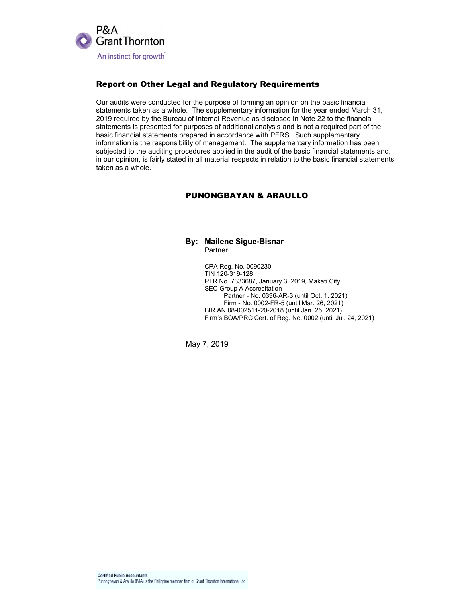

# Report on Other Legal and Regulatory Requirements

Our audits were conducted for the purpose of forming an opinion on the basic financial statements taken as a whole. The supplementary information for the year ended March 31, 2019 required by the Bureau of Internal Revenue as disclosed in Note 22 to the financial statements is presented for purposes of additional analysis and is not a required part of the basic financial statements prepared in accordance with PFRS. Such supplementary information is the responsibility of management. The supplementary information has been subjected to the auditing procedures applied in the audit of the basic financial statements and, in our opinion, is fairly stated in all material respects in relation to the basic financial statements taken as a whole.

# PUNONGBAYAN & ARAULLO

### **By: Mailene Sigue-Bisnar**  Partner

 CPA Reg. No. 0090230 TIN 120-319-128 PTR No. 7333687, January 3, 2019, Makati City SEC Group A Accreditation Partner - No. 0396-AR-3 (until Oct. 1, 2021) Firm - No. 0002-FR-5 (until Mar. 26, 2021) BIR AN 08-002511-20-2018 (until Jan. 25, 2021) Firm's BOA/PRC Cert. of Reg. No. 0002 (until Jul. 24, 2021)

May 7, 2019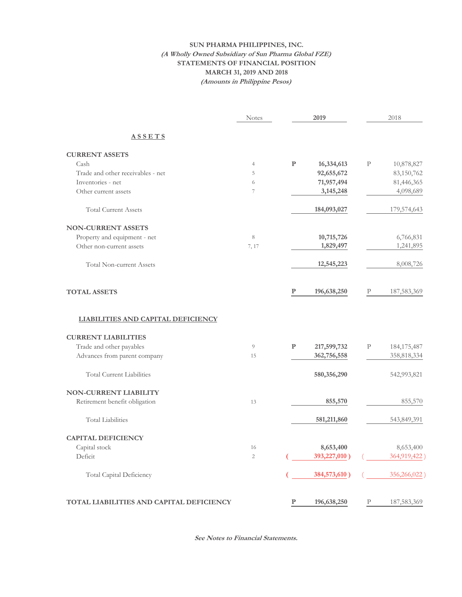# SUN PHARMA PHILIPPINES, INC. (A Wholly Owned Subsidiary of Sun Pharma Global FZE) STATEMENTS OF FINANCIAL POSITION MARCH 31, 2019 AND 2018 (Amounts in Philippine Pesos)

|                                           | <b>Notes</b>   | 2019                          |              | 2018          |
|-------------------------------------------|----------------|-------------------------------|--------------|---------------|
| <u>ASSETS</u>                             |                |                               |              |               |
| <b>CURRENT ASSETS</b>                     |                |                               |              |               |
| Cash                                      | $\overline{4}$ | P<br>16,334,613               | $\mathbf P$  | 10,878,827    |
| Trade and other receivables - net         | 5              | 92,655,672                    |              | 83,150,762    |
| Inventories - net                         | 6              | 71,957,494                    |              | 81,446,365    |
| Other current assets                      | 7              | 3, 145, 248                   |              | 4,098,689     |
| <b>Total Current Assets</b>               |                | 184,093,027                   |              | 179,574,643   |
| <b>NON-CURRENT ASSETS</b>                 |                |                               |              |               |
| Property and equipment - net              | $\,8\,$        | 10,715,726                    |              | 6,766,831     |
| Other non-current assets                  | 7,17           | 1,829,497                     |              | 1,241,895     |
| <b>Total Non-current Assets</b>           |                | 12,545,223                    |              | 8,008,726     |
| <b>TOTAL ASSETS</b>                       |                | 196,638,250<br>P              | P            | 187,583,369   |
| <b>LIABILITIES AND CAPITAL DEFICIENCY</b> |                |                               |              |               |
| <b>CURRENT LIABILITIES</b>                |                |                               |              |               |
| Trade and other payables                  | 9              | P<br>217,599,732              | P            | 184, 175, 487 |
| Advances from parent company              | 15             | 362,756,558                   |              | 358,818,334   |
| <b>Total Current Liabilities</b>          |                | 580,356,290                   |              | 542,993,821   |
| NON-CURRENT LIABILITY                     |                |                               |              |               |
| Retirement benefit obligation             | 13             | 855,570                       |              | 855,570       |
| <b>Total Liabilities</b>                  |                | 581,211,860                   |              | 543,849,391   |
| <b>CAPITAL DEFICIENCY</b>                 |                |                               |              |               |
| Capital stock                             | 16             | 8,653,400                     |              | 8,653,400     |
| Deficit                                   | $\overline{c}$ | 393,227,010)                  |              | 364,919,422)  |
| Total Capital Deficiency                  |                | 384,573,610)                  |              | 356,266,022)  |
| TOTAL LIABILITIES AND CAPITAL DEFICIENCY  |                | 196,638,250<br>P <sub>1</sub> | $\mathbf{P}$ | 187,583,369   |
|                                           |                |                               |              |               |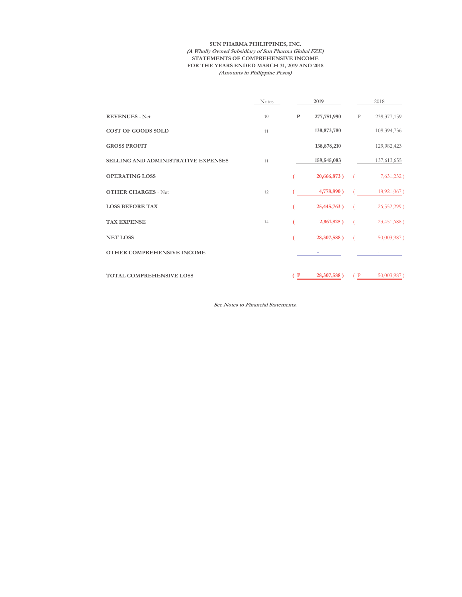### SUN PHARMA PHILIPPINES, INC. (A Wholly Owned Subsidiary of Sun Pharma Global FZE) STATEMENTS OF COMPREHENSIVE INCOME FOR THE YEARS ENDED MARCH 31, 2019 AND 2018 (Amounts in Philippine Pesos)

|                                            | <b>Notes</b> |              | 2019        | 2018         |               |  |
|--------------------------------------------|--------------|--------------|-------------|--------------|---------------|--|
| <b>REVENUES</b> - Net                      | 10           | $\mathbf{P}$ | 277,751,990 | $\mathbf{P}$ | 239, 377, 159 |  |
| <b>COST OF GOODS SOLD</b>                  | 11           |              | 138,873,780 |              | 109,394,736   |  |
| <b>GROSS PROFIT</b>                        |              |              | 138,878,210 |              | 129,982,423   |  |
| <b>SELLING AND ADMINISTRATIVE EXPENSES</b> | 11           |              | 159,545,083 |              | 137,613,655   |  |
| <b>OPERATING LOSS</b>                      |              |              | 20,666,873) |              | 7,631,232)    |  |
| <b>OTHER CHARGES - Net</b>                 | 12           |              | 4,778,890)  |              | 18,921,067)   |  |
| <b>LOSS BEFORE TAX</b>                     |              |              | 25,445,763) |              | 26,552,299)   |  |
| <b>TAX EXPENSE</b>                         | 14           |              | 2,861,825)  |              | 23,451,688)   |  |
| <b>NET LOSS</b>                            |              |              | 28,307,588) |              | 50,003,987)   |  |
| OTHER COMPREHENSIVE INCOME                 |              |              |             |              |               |  |
| <b>TOTAL COMPREHENSIVE LOSS</b>            |              | (P)          | 28,307,588) | $($ P        | 50,003,987    |  |
|                                            |              |              |             |              |               |  |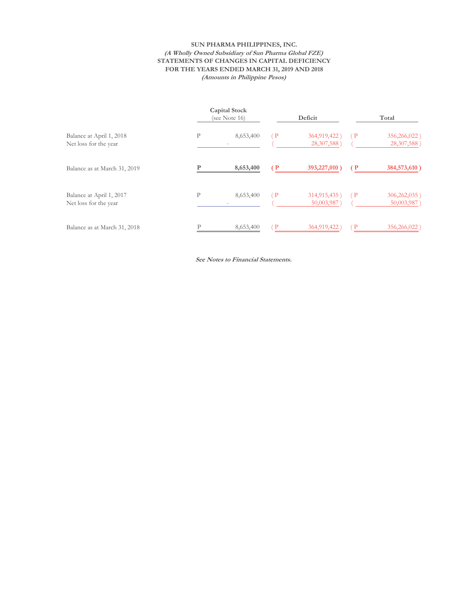### SUN PHARMA PHILIPPINES, INC. (A Wholly Owned Subsidiary of Sun Pharma Global FZE) STATEMENTS OF CHANGES IN CAPITAL DEFICIENCY FOR THE YEARS ENDED MARCH 31, 2019 AND 2018 (Amounts in Philippine Pesos)

|                                                   |   | <b>Capital Stock</b><br>(see Note 16) |              | Deficit                    |     | Total                       |
|---------------------------------------------------|---|---------------------------------------|--------------|----------------------------|-----|-----------------------------|
| Balance at April 1, 2018<br>Net loss for the year | P | 8,653,400                             | (P)          | 364,919,422)<br>28,307,588 | (P) | 356,266,022)<br>28,307,588) |
| Balance as at March 31, 2019                      |   | 8,653,400                             | (P)          | 393,227,010                | (P  | 384,573,610)                |
| Balance at April 1, 2017<br>Net loss for the year | P | 8,653,400                             | (P)          | 314,915,435)<br>50,003,987 | (P) | 306,262,035)<br>50,003,987  |
| Balance as at March 31, 2018                      | D | 8,653,400                             | $\mathbf{P}$ | 364,919,422                | ( P | 356,266,022)                |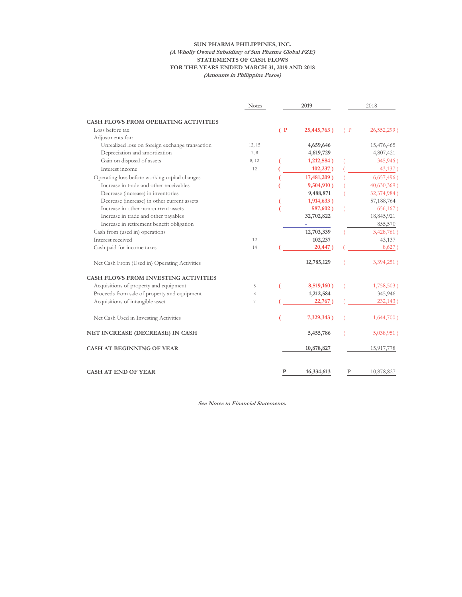### SUN PHARMA PHILIPPINES, INC. (A Wholly Owned Subsidiary of Sun Pharma Global FZE) STATEMENTS OF CASH FLOWS FOR THE YEARS ENDED MARCH 31, 2019 AND 2018 (Amounts in Philippine Pesos)

|                                                 | <b>Notes</b> | 2019         |             | 2018 |               |
|-------------------------------------------------|--------------|--------------|-------------|------|---------------|
| <b>CASH FLOWS FROM OPERATING ACTIVITIES</b>     |              |              |             |      |               |
| Loss before tax                                 |              | (P)          | 25,445,763) | (P)  | 26,552,299)   |
| Adjustments for:                                |              |              |             |      |               |
| Unrealized loss on foreign exchange transaction | 12, 15       |              | 4,659,646   |      | 15,476,465    |
| Depreciation and amortization                   | 7,8          |              | 4,619,729   |      | 4,807,421     |
| Gain on disposal of assets                      | 8, 12        |              | 1,212,584)  |      | 345,946)      |
| Interest income                                 | 12           |              | 102,237)    |      | 43,137)       |
| Operating loss before working capital changes   |              |              | 17,481,209) |      | 6,657,496)    |
| Increase in trade and other receivables         |              |              | 9,504,910)  |      | 40,630,369)   |
| Decrease (increase) in inventories              |              |              | 9,488,871   |      | 32,374,984)   |
| Decrease (increase) in other current assets     |              |              | 1,914,633)  |      | 57,188,764    |
| Increase in other non-current assets            |              |              | 587,602)    |      | 656,167)      |
| Increase in trade and other payables            |              |              | 32,702,822  |      | 18,845,921    |
| Increase in retirement benefit obligation       |              |              |             |      | 855,570       |
| Cash from (used in) operations                  |              |              | 12,703,339  |      | 3,428,761)    |
| Interest received                               | 12           |              | 102,237     |      | 43,137        |
| Cash paid for income taxes                      | 14           |              | 20,447)     |      | 8,627)        |
|                                                 |              |              |             |      |               |
| Net Cash From (Used in) Operating Activities    |              |              | 12,785,129  |      | 3,394,251)    |
| <b>CASH FLOWS FROM INVESTING ACTIVITIES</b>     |              |              |             |      |               |
| Acquisitions of property and equipment          | 8            |              | 8,519,160)  |      | $1,758,503$ ) |
| Proceeds from sale of property and equipment    | 8            |              | 1,212,584   |      | 345,946       |
| Acquisitions of intangible asset                | 7            |              | 22,767)     |      | 232,143)      |
| Net Cash Used in Investing Activities           |              |              | 7,329,343)  |      | 1,644,700)    |
| NET INCREASE (DECREASE) IN CASH                 |              |              | 5,455,786   |      | 5,038,951)    |
| <b>CASH AT BEGINNING OF YEAR</b>                |              |              | 10,878,827  |      | 15,917,778    |
| <b>CASH AT END OF YEAR</b>                      |              | $\mathbf{P}$ | 16,334,613  | P    | 10,878,827    |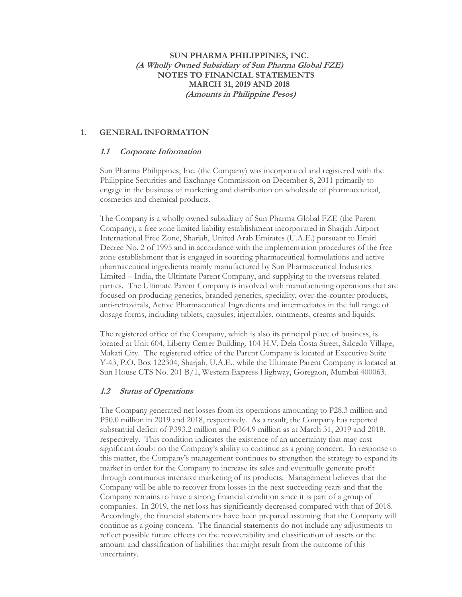# SUN PHARMA PHILIPPINES, INC. (A Wholly Owned Subsidiary of Sun Pharma Global FZE) **NOTES TO FINANCIAL STATEMENTS MARCH 31, 2019 AND 2018** (Amounts in Philippine Pesos)

### $1.$ **GENERAL INFORMATION**

### $1.1$ **Corporate Information**

Sun Pharma Philippines, Inc. (the Company) was incorporated and registered with the Philippine Securities and Exchange Commission on December 8, 2011 primarily to engage in the business of marketing and distribution on wholesale of pharmaceutical, cosmetics and chemical products.

The Company is a wholly owned subsidiary of Sun Pharma Global FZE (the Parent Company), a free zone limited liability establishment incorporated in Sharjah Airport International Free Zone, Sharjah, United Arab Emirates (U.A.E.) pursuant to Emiri Decree No. 2 of 1995 and in accordance with the implementation procedures of the free zone establishment that is engaged in sourcing pharmaceutical formulations and active pharmaceutical ingredients mainly manufactured by Sun Pharmaceutical Industries Limited – India, the Ultimate Parent Company, and supplying to the overseas related parties. The Ultimate Parent Company is involved with manufacturing operations that are focused on producing generics, branded generics, speciality, over-the-counter products, anti-retrovirals, Active Pharmaceutical Ingredients and intermediates in the full range of dosage forms, including tablets, capsules, injectables, ointments, creams and liquids.

The registered office of the Company, which is also its principal place of business, is located at Unit 604, Liberty Center Building, 104 H.V. Dela Costa Street, Salcedo Village, Makati City. The registered office of the Parent Company is located at Executive Suite Y-43, P.O. Box 122304, Sharjah, U.A.E., while the Ultimate Parent Company is located at Sun House CTS No. 201 B/1, Western Express Highway, Goregaon, Mumbai 400063.

#### **Status of Operations**  $1.2$

The Company generated net losses from its operations amounting to P28.3 million and P50.0 million in 2019 and 2018, respectively. As a result, the Company has reported substantial deficit of P393.2 million and P364.9 million as at March 31, 2019 and 2018, respectively. This condition indicates the existence of an uncertainty that may cast significant doubt on the Company's ability to continue as a going concern. In response to this matter, the Company's management continues to strengthen the strategy to expand its market in order for the Company to increase its sales and eventually generate profit through continuous intensive marketing of its products. Management believes that the Company will be able to recover from losses in the next succeeding years and that the Company remains to have a strong financial condition since it is part of a group of companies. In 2019, the net loss has significantly decreased compared with that of 2018. Accordingly, the financial statements have been prepared assuming that the Company will continue as a going concern. The financial statements do not include any adjustments to reflect possible future effects on the recoverability and classification of assets or the amount and classification of liabilities that might result from the outcome of this uncertainty.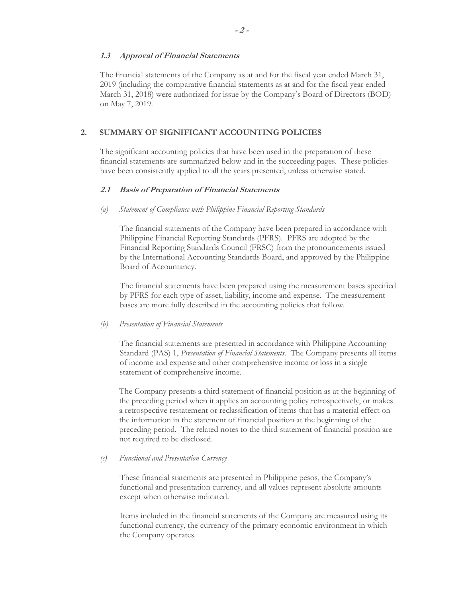### 1.3 Approval of Financial Statements

The financial statements of the Company as at and for the fiscal year ended March 31, 2019 (including the comparative financial statements as at and for the fiscal year ended March 31, 2018) were authorized for issue by the Company's Board of Directors (BOD) on May 7, 2019.

### $2.$ SUMMARY OF SIGNIFICANT ACCOUNTING POLICIES

The significant accounting policies that have been used in the preparation of these financial statements are summarized below and in the succeeding pages. These policies have been consistently applied to all the years presented, unless otherwise stated.

#### **Basis of Preparation of Financial Statements** 2.1

Statement of Compliance with Philippine Financial Reporting Standards  $(a)$ 

The financial statements of the Company have been prepared in accordance with Philippine Financial Reporting Standards (PFRS). PFRS are adopted by the Financial Reporting Standards Council (FRSC) from the pronouncements issued by the International Accounting Standards Board, and approved by the Philippine Board of Accountancy.

The financial statements have been prepared using the measurement bases specified by PFRS for each type of asset, liability, income and expense. The measurement bases are more fully described in the accounting policies that follow.

#### $(b)$ **Presentation of Financial Statements**

The financial statements are presented in accordance with Philippine Accounting Standard (PAS) 1, Presentation of Financial Statements. The Company presents all items of income and expense and other comprehensive income or loss in a single statement of comprehensive income.

The Company presents a third statement of financial position as at the beginning of the preceding period when it applies an accounting policy retrospectively, or makes a retrospective restatement or reclassification of items that has a material effect on the information in the statement of financial position at the beginning of the preceding period. The related notes to the third statement of financial position are not required to be disclosed.

#### Functional and Presentation Currency  $(c)$

These financial statements are presented in Philippine pesos, the Company's functional and presentation currency, and all values represent absolute amounts except when otherwise indicated.

Items included in the financial statements of the Company are measured using its functional currency, the currency of the primary economic environment in which the Company operates.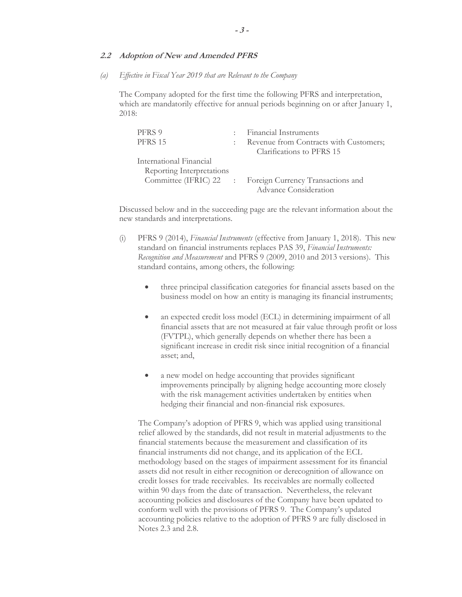#### $2.2^{\circ}$ **Adoption of New and Amended PFRS**

Effective in Fiscal Year 2019 that are Relevant to the Company  $(a)$ 

The Company adopted for the first time the following PFRS and interpretation, which are mandatorily effective for annual periods beginning on or after January 1, 2018:

| PFRS 9                    | Financial Instruments                                      |
|---------------------------|------------------------------------------------------------|
| PFRS 15                   | Revenue from Contracts with Customers;                     |
|                           | Clarifications to PFRS 15                                  |
| International Financial   |                                                            |
| Reporting Interpretations |                                                            |
| Committee (IFRIC) 22 :    | Foreign Currency Transactions and<br>Advance Consideration |
|                           |                                                            |

Discussed below and in the succeeding page are the relevant information about the new standards and interpretations.

- PFRS 9 (2014), Financial Instruments (effective from January 1, 2018). This new  $(i)$ standard on financial instruments replaces PAS 39, Financial Instruments: Recognition and Measurement and PFRS 9 (2009, 2010 and 2013 versions). This standard contains, among others, the following:
	- three principal classification categories for financial assets based on the  $\bullet$ business model on how an entity is managing its financial instruments;
	- an expected credit loss model (ECL) in determining impairment of all  $\bullet$ financial assets that are not measured at fair value through profit or loss (FVTPL), which generally depends on whether there has been a significant increase in credit risk since initial recognition of a financial asset; and,
	- a new model on hedge accounting that provides significant  $\bullet$ improvements principally by aligning hedge accounting more closely with the risk management activities undertaken by entities when hedging their financial and non-financial risk exposures.

The Company's adoption of PFRS 9, which was applied using transitional relief allowed by the standards, did not result in material adjustments to the financial statements because the measurement and classification of its financial instruments did not change, and its application of the ECL methodology based on the stages of impairment assessment for its financial assets did not result in either recognition or derecognition of allowance on credit losses for trade receivables. Its receivables are normally collected within 90 days from the date of transaction. Nevertheless, the relevant accounting policies and disclosures of the Company have been updated to conform well with the provisions of PFRS 9. The Company's updated accounting policies relative to the adoption of PFRS 9 are fully disclosed in Notes 2.3 and 2.8.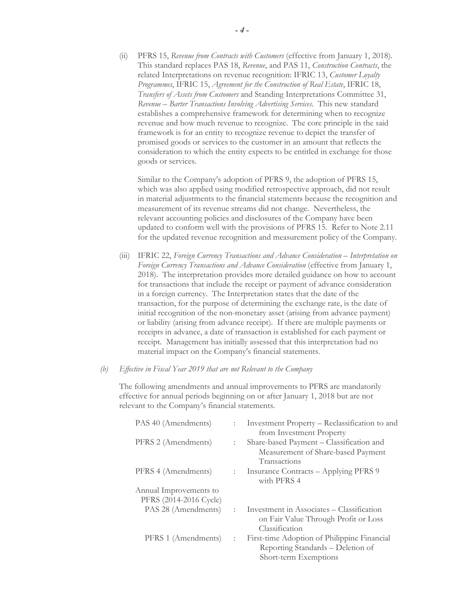$(i)$ PFRS 15, Revenue from Contracts with Customers (effective from January 1, 2018). This standard replaces PAS 18, Revenue, and PAS 11, Construction Contracts, the related Interpretations on revenue recognition: IFRIC 13, Customer Loyalty Programmes, IFRIC 15, Agreement for the Construction of Real Estate, IFRIC 18, Transfers of Assets from Customers and Standing Interpretations Committee 31, Revenue – Barter Transactions Involving Advertising Services. This new standard establishes a comprehensive framework for determining when to recognize revenue and how much revenue to recognize. The core principle in the said framework is for an entity to recognize revenue to depict the transfer of promised goods or services to the customer in an amount that reflects the consideration to which the entity expects to be entitled in exchange for those goods or services.

Similar to the Company's adoption of PFRS 9, the adoption of PFRS 15, which was also applied using modified retrospective approach, did not result in material adjustments to the financial statements because the recognition and measurement of its revenue streams did not change. Nevertheless, the relevant accounting policies and disclosures of the Company have been updated to conform well with the provisions of PFRS 15. Refer to Note 2.11 for the updated revenue recognition and measurement policy of the Company.

IFRIC 22, Foreign Currency Transactions and Advance Consideration – Interpretation on  $(iii)$ Foreign Currency Transactions and Advance Consideration (effective from January 1, 2018). The interpretation provides more detailed guidance on how to account for transactions that include the receipt or payment of advance consideration in a foreign currency. The Interpretation states that the date of the transaction, for the purpose of determining the exchange rate, is the date of initial recognition of the non-monetary asset (arising from advance payment) or liability (arising from advance receipt). If there are multiple payments or receipts in advance, a date of transaction is established for each payment or receipt. Management has initially assessed that this interpretation had no material impact on the Company's financial statements.

#### Effective in Fiscal Year 2019 that are not Relevant to the Company  $(b)$

The following amendments and annual improvements to PFRS are mandatorily effective for annual periods beginning on or after January 1, 2018 but are not relevant to the Company's financial statements.

| PAS 40 (Amendments)                              |              | Investment Property – Reclassification to and<br>from Investment Property                                 |
|--------------------------------------------------|--------------|-----------------------------------------------------------------------------------------------------------|
| PFRS 2 (Amendments)                              | $\mathbb{Z}$ | Share-based Payment – Classification and<br>Measurement of Share-based Payment<br>Transactions            |
| PFRS 4 (Amendments)                              |              | : Insurance Contracts – Applying PFRS 9<br>with PFRS 4                                                    |
| Annual Improvements to<br>PFRS (2014-2016 Cycle) |              |                                                                                                           |
| PAS 28 (Amendments)                              |              | : Investment in Associates – Classification<br>on Fair Value Through Profit or Loss<br>Classification     |
| PFRS 1 (Amendments)                              | ÷            | First-time Adoption of Philippine Financial<br>Reporting Standards - Deletion of<br>Short-term Exemptions |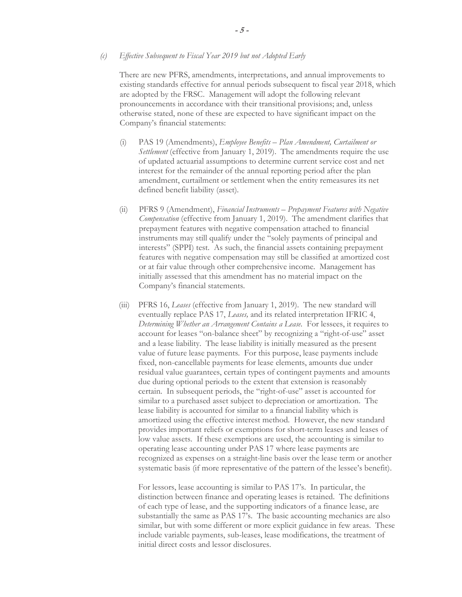#### $(c)$ Effective Subsequent to Fiscal Year 2019 but not Adopted Early

There are new PFRS, amendments, interpretations, and annual improvements to existing standards effective for annual periods subsequent to fiscal year 2018, which are adopted by the FRSC. Management will adopt the following relevant pronouncements in accordance with their transitional provisions; and, unless otherwise stated, none of these are expected to have significant impact on the Company's financial statements:

- PAS 19 (Amendments), Employee Benefits Plan Amendment, Curtailment or  $(i)$ Settlement (effective from January 1, 2019). The amendments require the use of updated actuarial assumptions to determine current service cost and net interest for the remainder of the annual reporting period after the plan amendment, curtailment or settlement when the entity remeasures its net defined benefit liability (asset).
- PFRS 9 (Amendment), Financial Instruments Prepayment Features with Negative  $(i1)$ Compensation (effective from January 1, 2019). The amendment clarifies that prepayment features with negative compensation attached to financial instruments may still qualify under the "solely payments of principal and interests" (SPPI) test. As such, the financial assets containing prepayment features with negative compensation may still be classified at amortized cost or at fair value through other comprehensive income. Management has initially assessed that this amendment has no material impact on the Company's financial statements.
- PFRS 16, Leases (effective from January 1, 2019). The new standard will  $(iii)$ eventually replace PAS 17, Leases, and its related interpretation IFRIC 4, Determining Whether an Arrangement Contains a Lease. For lessees, it requires to account for leases "on-balance sheet" by recognizing a "right-of-use" asset and a lease liability. The lease liability is initially measured as the present value of future lease payments. For this purpose, lease payments include fixed, non-cancellable payments for lease elements, amounts due under residual value guarantees, certain types of contingent payments and amounts due during optional periods to the extent that extension is reasonably certain. In subsequent periods, the "right-of-use" asset is accounted for similar to a purchased asset subject to depreciation or amortization. The lease liability is accounted for similar to a financial liability which is amortized using the effective interest method. However, the new standard provides important reliefs or exemptions for short-term leases and leases of low value assets. If these exemptions are used, the accounting is similar to operating lease accounting under PAS 17 where lease payments are recognized as expenses on a straight-line basis over the lease term or another systematic basis (if more representative of the pattern of the lessee's benefit).

For lessors, lease accounting is similar to PAS 17's. In particular, the distinction between finance and operating leases is retained. The definitions of each type of lease, and the supporting indicators of a finance lease, are substantially the same as PAS 17's. The basic accounting mechanics are also similar, but with some different or more explicit guidance in few areas. These include variable payments, sub-leases, lease modifications, the treatment of initial direct costs and lessor disclosures.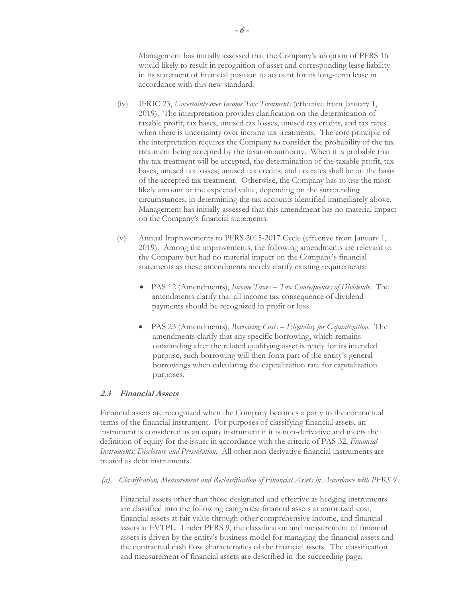Management has initially assessed that the Company's adoption of PFRS 16 would likely to result in recognition of asset and corresponding lease liability in its statement of financial position to account for its long-term lease in accordance with this new standard.

- IFRIC 23, Uncertainty over Income Tax Treatments (effective from January 1,  $(iv)$ 2019). The interpretation provides clarification on the determination of taxable profit, tax bases, unused tax losses, unused tax credits, and tax rates when there is uncertainty over income tax treatments. The core principle of the interpretation requires the Company to consider the probability of the tax treatment being accepted by the taxation authority. When it is probable that the tax treatment will be accepted, the determination of the taxable profit, tax bases, unused tax losses, unused tax credits, and tax rates shall be on the basis of the accepted tax treatment. Otherwise, the Company has to use the most likely amount or the expected value, depending on the surrounding circumstances, in determining the tax accounts identified immediately above. Management has initially assessed that this amendment has no material impact on the Company's financial statements.
- Annual Improvements to PFRS 2015-2017 Cycle (effective from January 1,  $(v)$ 2019). Among the improvements, the following amendments are relevant to the Company but had no material impact on the Company's financial statements as these amendments merely clarify existing requirements:
	- PAS 12 (Amendments), Income Taxes Tax Consequences of Dividends. The  $\bullet$ amendments clarify that all income tax consequence of dividend payments should be recognized in profit or loss.
	- PAS 23 (Amendments), Borrowing Costs Eligibility for Capitalization. The amendments clarify that any specific borrowing, which remains outstanding after the related qualifying asset is ready for its intended purpose, such borrowing will then form part of the entity's general borrowings when calculating the capitalization rate for capitalization purposes.

#### **Financial Assets**  $2.3$

Financial assets are recognized when the Company becomes a party to the contractual terms of the financial instrument. For purposes of classifying financial assets, an instrument is considered as an equity instrument if it is non-derivative and meets the definition of equity for the issuer in accordance with the criteria of PAS 32, Financial Instruments: Disclosure and Presentation. All other non-derivative financial instruments are treated as debt instruments.

 $(a)$ Classification, Measurement and Reclassification of Financial Assets in Accordance with PFRS 9

Financial assets other than those designated and effective as hedging instruments are classified into the following categories: financial assets at amortized cost, financial assets at fair value through other comprehensive income, and financial assets at FVTPL. Under PFRS 9, the classification and measurement of financial assets is driven by the entity's business model for managing the financial assets and the contractual cash flow characteristics of the financial assets. The classification and measurement of financial assets are described in the succeeding page.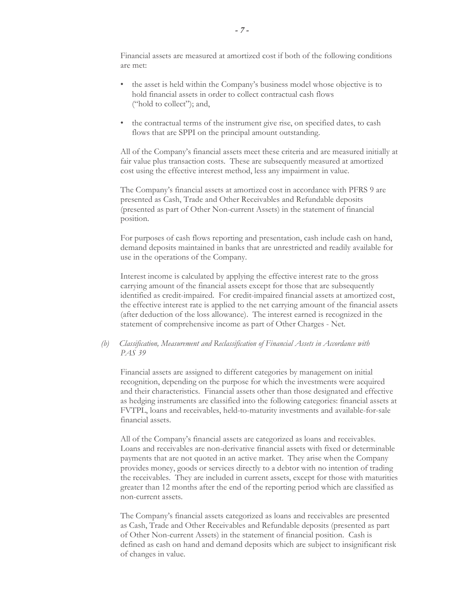Financial assets are measured at amortized cost if both of the following conditions are met:

- $\bullet$ the asset is held within the Company's business model whose objective is to hold financial assets in order to collect contractual cash flows ("hold to collect"); and,
- $\bullet$ the contractual terms of the instrument give rise, on specified dates, to cash flows that are SPPI on the principal amount outstanding.

All of the Company's financial assets meet these criteria and are measured initially at fair value plus transaction costs. These are subsequently measured at amortized cost using the effective interest method, less any impairment in value.

The Company's financial assets at amortized cost in accordance with PFRS 9 are presented as Cash, Trade and Other Receivables and Refundable deposits (presented as part of Other Non-current Assets) in the statement of financial position.

For purposes of cash flows reporting and presentation, cash include cash on hand, demand deposits maintained in banks that are unrestricted and readily available for use in the operations of the Company.

Interest income is calculated by applying the effective interest rate to the gross carrying amount of the financial assets except for those that are subsequently identified as credit-impaired. For credit-impaired financial assets at amortized cost, the effective interest rate is applied to the net carrying amount of the financial assets (after deduction of the loss allowance). The interest earned is recognized in the statement of comprehensive income as part of Other Charges - Net.

### Classification, Measurement and Reclassification of Financial Assets in Accordance with  $(b)$ PAS 39

Financial assets are assigned to different categories by management on initial recognition, depending on the purpose for which the investments were acquired and their characteristics. Financial assets other than those designated and effective as hedging instruments are classified into the following categories: financial assets at FVTPL, loans and receivables, held-to-maturity investments and available-for-sale financial assets.

All of the Company's financial assets are categorized as loans and receivables. Loans and receivables are non-derivative financial assets with fixed or determinable payments that are not quoted in an active market. They arise when the Company provides money, goods or services directly to a debtor with no intention of trading the receivables. They are included in current assets, except for those with maturities greater than 12 months after the end of the reporting period which are classified as non-current assets.

The Company's financial assets categorized as loans and receivables are presented as Cash, Trade and Other Receivables and Refundable deposits (presented as part of Other Non-current Assets) in the statement of financial position. Cash is defined as cash on hand and demand deposits which are subject to insignificant risk of changes in value.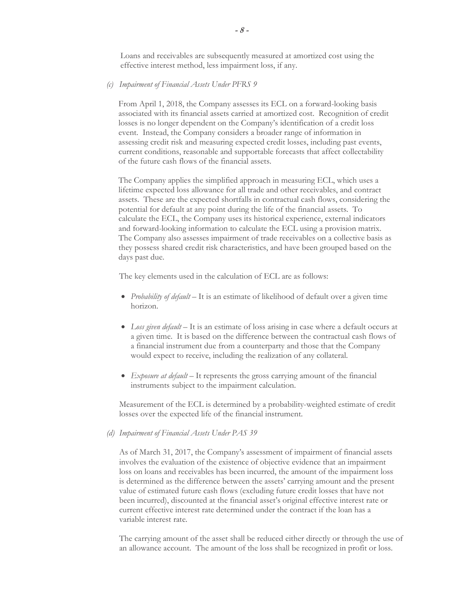Loans and receivables are subsequently measured at amortized cost using the effective interest method, less impairment loss, if any.

(c) Impairment of Financial Assets Under PFRS 9

From April 1, 2018, the Company assesses its ECL on a forward-looking basis associated with its financial assets carried at amortized cost. Recognition of credit losses is no longer dependent on the Company's identification of a credit loss event. Instead, the Company considers a broader range of information in assessing credit risk and measuring expected credit losses, including past events, current conditions, reasonable and supportable forecasts that affect collectability of the future cash flows of the financial assets.

The Company applies the simplified approach in measuring ECL, which uses a lifetime expected loss allowance for all trade and other receivables, and contract assets. These are the expected shortfalls in contractual cash flows, considering the potential for default at any point during the life of the financial assets. To calculate the ECL, the Company uses its historical experience, external indicators and forward-looking information to calculate the ECL using a provision matrix. The Company also assesses impairment of trade receivables on a collective basis as they possess shared credit risk characteristics, and have been grouped based on the days past due.

The key elements used in the calculation of ECL are as follows:

- *Probability of default* It is an estimate of likelihood of default over a given time horizon.
- Loss given default It is an estimate of loss arising in case where a default occurs at a given time. It is based on the difference between the contractual cash flows of a financial instrument due from a counterparty and those that the Company would expect to receive, including the realization of any collateral.
- *Exposure at default* It represents the gross carrying amount of the financial instruments subject to the impairment calculation.

Measurement of the ECL is determined by a probability-weighted estimate of credit losses over the expected life of the financial instrument.

### (d) Impairment of Financial Assets Under PAS 39

As of March 31, 2017, the Company's assessment of impairment of financial assets involves the evaluation of the existence of objective evidence that an impairment loss on loans and receivables has been incurred, the amount of the impairment loss is determined as the difference between the assets' carrying amount and the present value of estimated future cash flows (excluding future credit losses that have not been incurred), discounted at the financial asset's original effective interest rate or current effective interest rate determined under the contract if the loan has a variable interest rate.

The carrying amount of the asset shall be reduced either directly or through the use of an allowance account. The amount of the loss shall be recognized in profit or loss.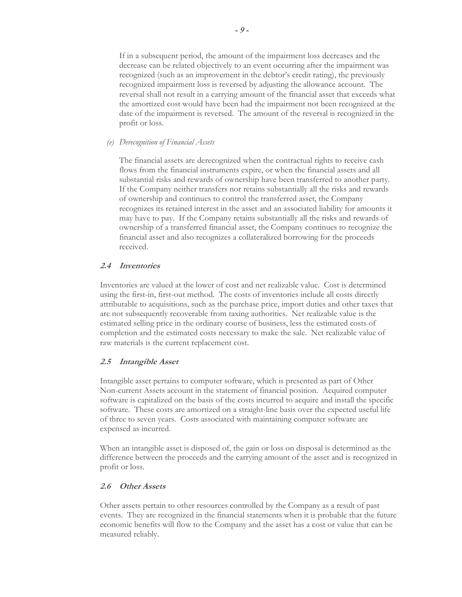If in a subsequent period, the amount of the impairment loss decreases and the decrease can be related objectively to an event occurring after the impairment was recognized (such as an improvement in the debtor's credit rating), the previously recognized impairment loss is reversed by adjusting the allowance account. The reversal shall not result in a carrying amount of the financial asset that exceeds what the amortized cost would have been had the impairment not been recognized at the date of the impairment is reversed. The amount of the reversal is recognized in the profit or loss.

(e) Derecognition of Financial Assets

The financial assets are derecognized when the contractual rights to receive cash flows from the financial instruments expire, or when the financial assets and all substantial risks and rewards of ownership have been transferred to another party. If the Company neither transfers nor retains substantially all the risks and rewards of ownership and continues to control the transferred asset, the Company recognizes its retained interest in the asset and an associated liability for amounts it may have to pay. If the Company retains substantially all the risks and rewards of ownership of a transferred financial asset, the Company continues to recognize the financial asset and also recognizes a collateralized borrowing for the proceeds received.

# 2.4 Inventories

Inventories are valued at the lower of cost and net realizable value. Cost is determined using the first-in, first-out method. The costs of inventories include all costs directly attributable to acquisitions, such as the purchase price, import duties and other taxes that are not subsequently recoverable from taxing authorities. Net realizable value is the estimated selling price in the ordinary course of business, less the estimated costs of completion and the estimated costs necessary to make the sale. Net realizable value of raw materials is the current replacement cost.

### $2.5$ **Intangible Asset**

Intangible asset pertains to computer software, which is presented as part of Other Non-current Assets account in the statement of financial position. Acquired computer software is capitalized on the basis of the costs incurred to acquire and install the specific software. These costs are amortized on a straight-line basis over the expected useful life of three to seven years. Costs associated with maintaining computer software are expensed as incurred.

When an intangible asset is disposed of, the gain or loss on disposal is determined as the difference between the proceeds and the carrying amount of the asset and is recognized in profit or loss.

# 2.6 Other Assets

Other assets pertain to other resources controlled by the Company as a result of past events. They are recognized in the financial statements when it is probable that the future economic benefits will flow to the Company and the asset has a cost or value that can be measured reliably.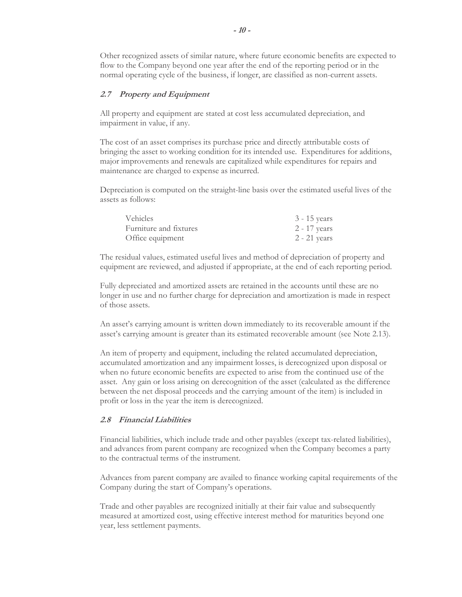Other recognized assets of similar nature, where future economic benefits are expected to flow to the Company beyond one year after the end of the reporting period or in the normal operating cycle of the business, if longer, are classified as non-current assets.

# 2.7 Property and Equipment

All property and equipment are stated at cost less accumulated depreciation, and impairment in value, if any.

The cost of an asset comprises its purchase price and directly attributable costs of bringing the asset to working condition for its intended use. Expenditures for additions, major improvements and renewals are capitalized while expenditures for repairs and maintenance are charged to expense as incurred.

Depreciation is computed on the straight-line basis over the estimated useful lives of the assets as follows:

| <b>Vehicles</b>        | 3 - 15 years   |
|------------------------|----------------|
| Furniture and fixtures | 2 - 17 years   |
| Office equipment       | $2 - 21$ years |

The residual values, estimated useful lives and method of depreciation of property and equipment are reviewed, and adjusted if appropriate, at the end of each reporting period.

Fully depreciated and amortized assets are retained in the accounts until these are no longer in use and no further charge for depreciation and amortization is made in respect of those assets.

An asset's carrying amount is written down immediately to its recoverable amount if the asset's carrying amount is greater than its estimated recoverable amount (see Note 2.13).

An item of property and equipment, including the related accumulated depreciation, accumulated amortization and any impairment losses, is derecognized upon disposal or when no future economic benefits are expected to arise from the continued use of the asset. Any gain or loss arising on derecognition of the asset (calculated as the difference between the net disposal proceeds and the carrying amount of the item) is included in profit or loss in the year the item is derecognized.

### 2.8 Financial Liabilities

Financial liabilities, which include trade and other payables (except tax-related liabilities), and advances from parent company are recognized when the Company becomes a party to the contractual terms of the instrument.

Advances from parent company are availed to finance working capital requirements of the Company during the start of Company's operations.

Trade and other payables are recognized initially at their fair value and subsequently measured at amortized cost, using effective interest method for maturities beyond one year, less settlement payments.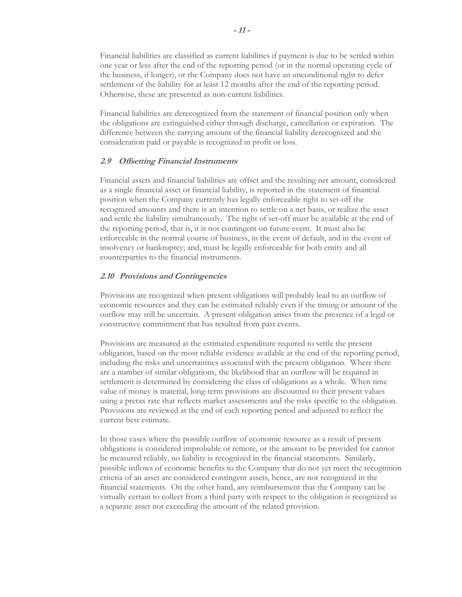Financial liabilities are classified as current liabilities if payment is due to be settled within one year or less after the end of the reporting period (or in the normal operating cycle of the business, if longer), or the Company does not have an unconditional right to defer settlement of the liability for at least 12 months after the end of the reporting period. Otherwise, these are presented as non-current liabilities.

Financial liabilities are derecognized from the statement of financial position only when the obligations are extinguished either through discharge, cancellation or expiration. The difference between the carrying amount of the financial liability derecognized and the consideration paid or payable is recognized in profit or loss.

#### **Offsetting Financial Instruments**  $2.9$

Financial assets and financial liabilities are offset and the resulting net amount, considered as a single financial asset or financial liability, is reported in the statement of financial position when the Company currently has legally enforceable right to set-off the recognized amounts and there is an intention to settle on a net basis, or realize the asset and settle the liability simultaneously. The right of set-off must be available at the end of the reporting period, that is, it is not contingent on future event. It must also be enforceable in the normal course of business, in the event of default, and in the event of insolvency or bankruptcy; and, must be legally enforceable for both entity and all counterparties to the financial instruments.

# **2.10 Provisions and Contingencies**

Provisions are recognized when present obligations will probably lead to an outflow of economic resources and they can be estimated reliably even if the timing or amount of the outflow may still be uncertain. A present obligation arises from the presence of a legal or constructive commitment that has resulted from past events.

Provisions are measured at the estimated expenditure required to settle the present obligation, based on the most reliable evidence available at the end of the reporting period, including the risks and uncertainties associated with the present obligation. Where there are a number of similar obligations, the likelihood that an outflow will be required in settlement is determined by considering the class of obligations as a whole. When time value of money is material, long-term provisions are discounted to their present values using a pretax rate that reflects market assessments and the risks specific to the obligation. Provisions are reviewed at the end of each reporting period and adjusted to reflect the current best estimate.

In those cases where the possible outflow of economic resource as a result of present obligations is considered improbable or remote, or the amount to be provided for cannot be measured reliably, no liability is recognized in the financial statements. Similarly, possible inflows of economic benefits to the Company that do not yet meet the recognition criteria of an asset are considered contingent assets, hence, are not recognized in the financial statements. On the other hand, any reimbursement that the Company can be virtually certain to collect from a third party with respect to the obligation is recognized as a separate asset not exceeding the amount of the related provision.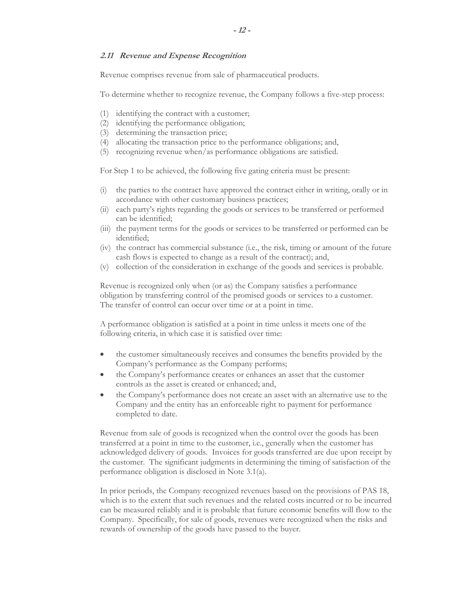### 2.11 Revenue and Expense Recognition

Revenue comprises revenue from sale of pharmaceutical products.

To determine whether to recognize revenue, the Company follows a five-step process:

- (1) identifying the contract with a customer;
- (2) identifying the performance obligation;
- (3) determining the transaction price;
- (4) allocating the transaction price to the performance obligations; and,
- (5) recognizing revenue when/as performance obligations are satisfied.

For Step 1 to be achieved, the following five gating criteria must be present:

- the parties to the contract have approved the contract either in writing, orally or in  $(i)$ accordance with other customary business practices;
- (ii) each party's rights regarding the goods or services to be transferred or performed can be identified;
- (iii) the payment terms for the goods or services to be transferred or performed can be identified:
- (iv) the contract has commercial substance (i.e., the risk, timing or amount of the future cash flows is expected to change as a result of the contract); and,
- (v) collection of the consideration in exchange of the goods and services is probable.

Revenue is recognized only when (or as) the Company satisfies a performance obligation by transferring control of the promised goods or services to a customer. The transfer of control can occur over time or at a point in time.

A performance obligation is satisfied at a point in time unless it meets one of the following criteria, in which case it is satisfied over time:

- the customer simultaneously receives and consumes the benefits provided by the  $\bullet$ Company's performance as the Company performs;
- the Company's performance creates or enhances an asset that the customer controls as the asset is created or enhanced; and.
- the Company's performance does not create an asset with an alternative use to the Company and the entity has an enforceable right to payment for performance completed to date.

Revenue from sale of goods is recognized when the control over the goods has been transferred at a point in time to the customer, i.e., generally when the customer has acknowledged delivery of goods. Invoices for goods transferred are due upon receipt by the customer. The significant judgments in determining the timing of satisfaction of the performance obligation is disclosed in Note 3.1(a).

In prior periods, the Company recognized revenues based on the provisions of PAS 18, which is to the extent that such revenues and the related costs incurred or to be incurred can be measured reliably and it is probable that future economic benefits will flow to the Company. Specifically, for sale of goods, revenues were recognized when the risks and rewards of ownership of the goods have passed to the buyer.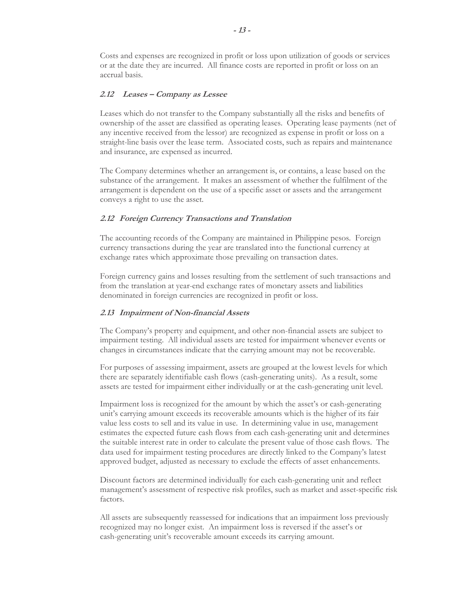Costs and expenses are recognized in profit or loss upon utilization of goods or services or at the date they are incurred. All finance costs are reported in profit or loss on an accrual basis.

# 2.12 Leases – Company as Lessee

Leases which do not transfer to the Company substantially all the risks and benefits of ownership of the asset are classified as operating leases. Operating lease payments (net of any incentive received from the lessor) are recognized as expense in profit or loss on a straight-line basis over the lease term. Associated costs, such as repairs and maintenance and insurance, are expensed as incurred.

The Company determines whether an arrangement is, or contains, a lease based on the substance of the arrangement. It makes an assessment of whether the fulfilment of the arrangement is dependent on the use of a specific asset or assets and the arrangement conveys a right to use the asset.

### 2.12 Foreign Currency Transactions and Translation

The accounting records of the Company are maintained in Philippine pesos. Foreign currency transactions during the year are translated into the functional currency at exchange rates which approximate those prevailing on transaction dates.

Foreign currency gains and losses resulting from the settlement of such transactions and from the translation at year-end exchange rates of monetary assets and liabilities denominated in foreign currencies are recognized in profit or loss.

### 2.13 Impairment of Non-financial Assets

The Company's property and equipment, and other non-financial assets are subject to impairment testing. All individual assets are tested for impairment whenever events or changes in circumstances indicate that the carrying amount may not be recoverable.

For purposes of assessing impairment, assets are grouped at the lowest levels for which there are separately identifiable cash flows (cash-generating units). As a result, some assets are tested for impairment either individually or at the cash-generating unit level.

Impairment loss is recognized for the amount by which the asset's or cash-generating unit's carrying amount exceeds its recoverable amounts which is the higher of its fair value less costs to sell and its value in use. In determining value in use, management estimates the expected future cash flows from each cash-generating unit and determines the suitable interest rate in order to calculate the present value of those cash flows. The data used for impairment testing procedures are directly linked to the Company's latest approved budget, adjusted as necessary to exclude the effects of asset enhancements.

Discount factors are determined individually for each cash-generating unit and reflect management's assessment of respective risk profiles, such as market and asset-specific risk factors.

All assets are subsequently reassessed for indications that an impairment loss previously recognized may no longer exist. An impairment loss is reversed if the asset's or cash-generating unit's recoverable amount exceeds its carrying amount.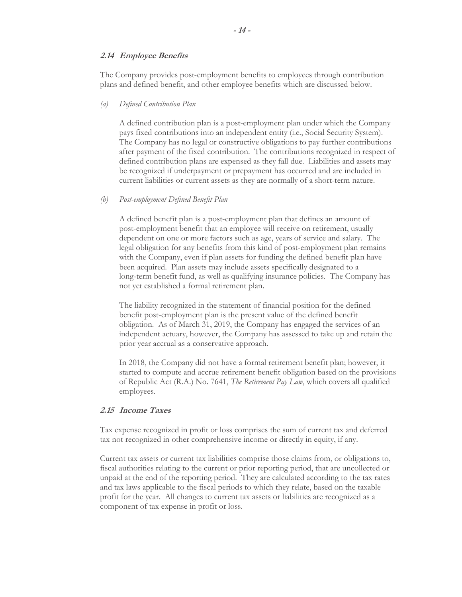### 2.14 Employee Benefits

The Company provides post-employment benefits to employees through contribution plans and defined benefit, and other employee benefits which are discussed below.

#### Defined Contribution Plan  $(a)$

A defined contribution plan is a post-employment plan under which the Company pays fixed contributions into an independent entity (i.e., Social Security System). The Company has no legal or constructive obligations to pay further contributions after payment of the fixed contribution. The contributions recognized in respect of defined contribution plans are expensed as they fall due. Liabilities and assets may be recognized if underpayment or prepayment has occurred and are included in current liabilities or current assets as they are normally of a short-term nature.

#### Post-employment Defined Benefit Plan  $(b)$

A defined benefit plan is a post-employment plan that defines an amount of post-employment benefit that an employee will receive on retirement, usually dependent on one or more factors such as age, years of service and salary. The legal obligation for any benefits from this kind of post-employment plan remains with the Company, even if plan assets for funding the defined benefit plan have been acquired. Plan assets may include assets specifically designated to a long-term benefit fund, as well as qualifying insurance policies. The Company has not yet established a formal retirement plan.

The liability recognized in the statement of financial position for the defined benefit post-employment plan is the present value of the defined benefit obligation. As of March 31, 2019, the Company has engaged the services of an independent actuary, however, the Company has assessed to take up and retain the prior year accrual as a conservative approach.

In 2018, the Company did not have a formal retirement benefit plan; however, it started to compute and accrue retirement benefit obligation based on the provisions of Republic Act (R.A.) No. 7641, *The Retirement Pay Law*, which covers all qualified employees.

### 2.15 Income Taxes

Tax expense recognized in profit or loss comprises the sum of current tax and deferred tax not recognized in other comprehensive income or directly in equity, if any.

Current tax assets or current tax liabilities comprise those claims from, or obligations to, fiscal authorities relating to the current or prior reporting period, that are uncollected or unpaid at the end of the reporting period. They are calculated according to the tax rates and tax laws applicable to the fiscal periods to which they relate, based on the taxable profit for the year. All changes to current tax assets or liabilities are recognized as a component of tax expense in profit or loss.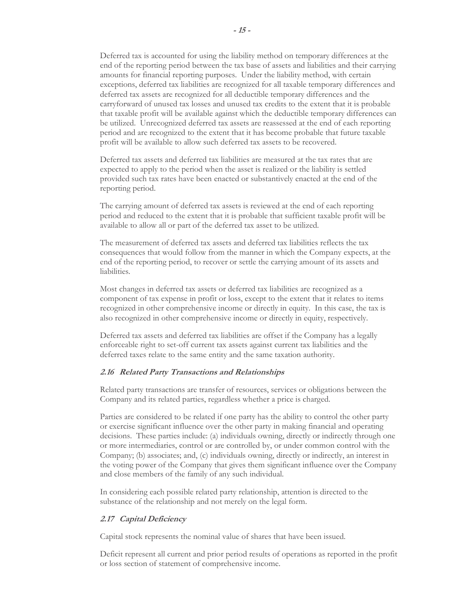Deferred tax is accounted for using the liability method on temporary differences at the end of the reporting period between the tax base of assets and liabilities and their carrying amounts for financial reporting purposes. Under the liability method, with certain exceptions, deferred tax liabilities are recognized for all taxable temporary differences and deferred tax assets are recognized for all deductible temporary differences and the carryforward of unused tax losses and unused tax credits to the extent that it is probable that taxable profit will be available against which the deductible temporary differences can be utilized. Unrecognized deferred tax assets are reassessed at the end of each reporting period and are recognized to the extent that it has become probable that future taxable profit will be available to allow such deferred tax assets to be recovered.

Deferred tax assets and deferred tax liabilities are measured at the tax rates that are expected to apply to the period when the asset is realized or the liability is settled provided such tax rates have been enacted or substantively enacted at the end of the reporting period.

The carrying amount of deferred tax assets is reviewed at the end of each reporting period and reduced to the extent that it is probable that sufficient taxable profit will be available to allow all or part of the deferred tax asset to be utilized.

The measurement of deferred tax assets and deferred tax liabilities reflects the tax consequences that would follow from the manner in which the Company expects, at the end of the reporting period, to recover or settle the carrying amount of its assets and liabilities.

Most changes in deferred tax assets or deferred tax liabilities are recognized as a component of tax expense in profit or loss, except to the extent that it relates to items recognized in other comprehensive income or directly in equity. In this case, the tax is also recognized in other comprehensive income or directly in equity, respectively.

Deferred tax assets and deferred tax liabilities are offset if the Company has a legally enforceable right to set-off current tax assets against current tax liabilities and the deferred taxes relate to the same entity and the same taxation authority.

### 2.16 Related Party Transactions and Relationships

Related party transactions are transfer of resources, services or obligations between the Company and its related parties, regardless whether a price is charged.

Parties are considered to be related if one party has the ability to control the other party or exercise significant influence over the other party in making financial and operating decisions. These parties include: (a) individuals owning, directly or indirectly through one or more intermediaries, control or are controlled by, or under common control with the Company; (b) associates; and, (c) individuals owning, directly or indirectly, an interest in the voting power of the Company that gives them significant influence over the Company and close members of the family of any such individual.

In considering each possible related party relationship, attention is directed to the substance of the relationship and not merely on the legal form.

### 2.17 Capital Deficiency

Capital stock represents the nominal value of shares that have been issued.

Deficit represent all current and prior period results of operations as reported in the profit or loss section of statement of comprehensive income.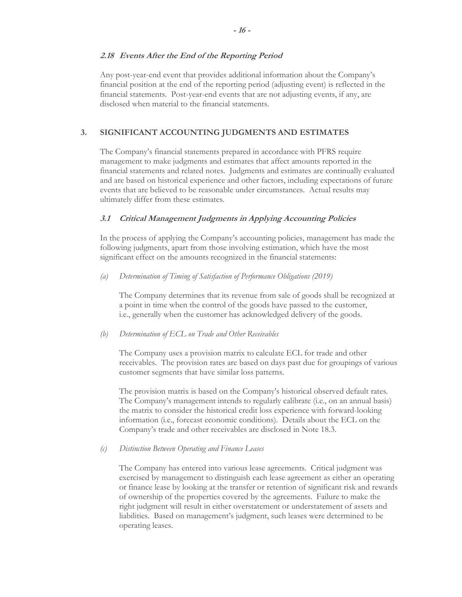Any post-year-end event that provides additional information about the Company's financial position at the end of the reporting period (adjusting event) is reflected in the financial statements. Post-year-end events that are not adjusting events, if any, are disclosed when material to the financial statements.

### $3.$ SIGNIFICANT ACCOUNTING JUDGMENTS AND ESTIMATES

The Company's financial statements prepared in accordance with PFRS require management to make judgments and estimates that affect amounts reported in the financial statements and related notes. Judgments and estimates are continually evaluated and are based on historical experience and other factors, including expectations of future events that are believed to be reasonable under circumstances. Actual results may ultimately differ from these estimates.

### $3.1$ **Critical Management Judgments in Applying Accounting Policies**

In the process of applying the Company's accounting policies, management has made the following judgments, apart from those involving estimation, which have the most significant effect on the amounts recognized in the financial statements:

### $(a)$ Determination of Timing of Satisfaction of Performance Obligations (2019)

The Company determines that its revenue from sale of goods shall be recognized at a point in time when the control of the goods have passed to the customer, i.e., generally when the customer has acknowledged delivery of the goods.

### Determination of ECL on Trade and Other Receivables  $(b)$

The Company uses a provision matrix to calculate ECL for trade and other receivables. The provision rates are based on days past due for groupings of various customer segments that have similar loss patterns.

The provision matrix is based on the Company's historical observed default rates. The Company's management intends to regularly calibrate (i.e., on an annual basis) the matrix to consider the historical credit loss experience with forward-looking information (i.e., forecast economic conditions). Details about the ECL on the Company's trade and other receivables are disclosed in Note 18.3.

### $(c)$ Distinction Between Operating and Finance Leases

The Company has entered into various lease agreements. Critical judgment was exercised by management to distinguish each lease agreement as either an operating or finance lease by looking at the transfer or retention of significant risk and rewards of ownership of the properties covered by the agreements. Failure to make the right judgment will result in either overstatement or understatement of assets and liabilities. Based on management's judgment, such leases were determined to be operating leases.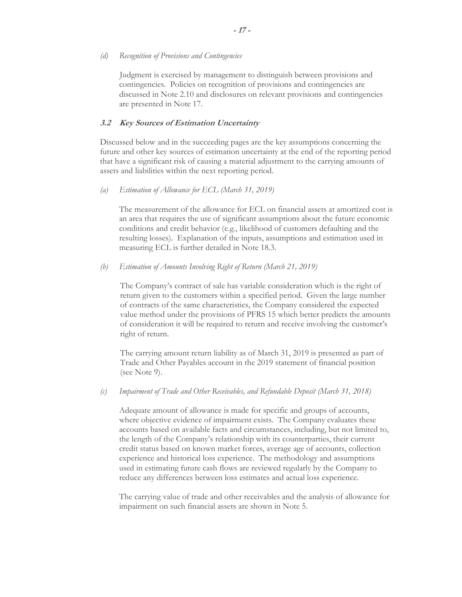#### $(d)$ Recognition of Provisions and Contingencies

Judgment is exercised by management to distinguish between provisions and contingencies. Policies on recognition of provisions and contingencies are discussed in Note 2.10 and disclosures on relevant provisions and contingencies are presented in Note 17.

#### $3.2$ **Key Sources of Estimation Uncertainty**

Discussed below and in the succeeding pages are the key assumptions concerning the future and other key sources of estimation uncertainty at the end of the reporting period that have a significant risk of causing a material adjustment to the carrying amounts of assets and liabilities within the next reporting period.

#### Estimation of Allowance for ECL (March 31, 2019)  $(a)$

The measurement of the allowance for ECL on financial assets at amortized cost is an area that requires the use of significant assumptions about the future economic conditions and credit behavior (e.g., likelihood of customers defaulting and the resulting losses). Explanation of the inputs, assumptions and estimation used in measuring ECL is further detailed in Note 18.3.

#### $(b)$ Estimation of Amounts Involving Right of Return (March 21, 2019)

The Company's contract of sale has variable consideration which is the right of return given to the customers within a specified period. Given the large number of contracts of the same characteristics, the Company considered the expected value method under the provisions of PFRS 15 which better predicts the amounts of consideration it will be required to return and receive involving the customer's right of return.

The carrying amount return liability as of March 31, 2019 is presented as part of Trade and Other Payables account in the 2019 statement of financial position (see Note 9).

#### Impairment of Trade and Other Receivables, and Refundable Deposit (March 31, 2018)  $(c)$

Adequate amount of allowance is made for specific and groups of accounts, where objective evidence of impairment exists. The Company evaluates these accounts based on available facts and circumstances, including, but not limited to, the length of the Company's relationship with its counterparties, their current credit status based on known market forces, average age of accounts, collection experience and historical loss experience. The methodology and assumptions used in estimating future cash flows are reviewed regularly by the Company to reduce any differences between loss estimates and actual loss experience.

The carrying value of trade and other receivables and the analysis of allowance for impairment on such financial assets are shown in Note 5.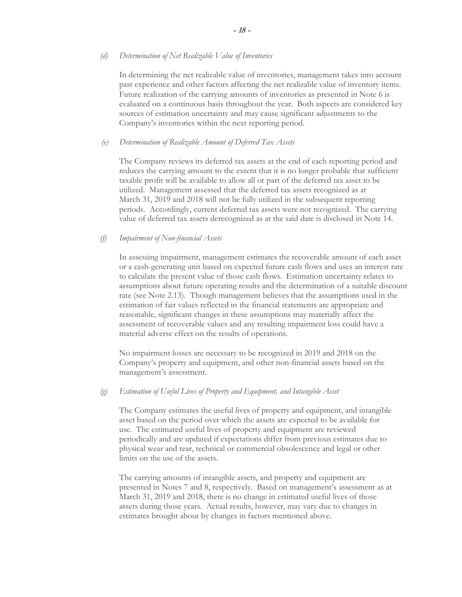#### $(d)$ Determination of Net Realizable Value of Inventories

In determining the net realizable value of inventories, management takes into account past experience and other factors affecting the net realizable value of inventory items. Future realization of the carrying amounts of inventories as presented in Note 6 is evaluated on a continuous basis throughout the year. Both aspects are considered key sources of estimation uncertainty and may cause significant adjustments to the Company's inventories within the next reporting period.

#### Determination of Realizable Amount of Deferred Tax Assets  $(e)$

The Company reviews its deferred tax assets at the end of each reporting period and reduces the carrying amount to the extent that it is no longer probable that sufficient taxable profit will be available to allow all or part of the deferred tax asset to be utilized. Management assessed that the deferred tax assets recognized as at March 31, 2019 and 2018 will not be fully utilized in the subsequent reporting periods. Accordingly, current deferred tax assets were not recognized. The carrying value of deferred tax assets derecognized as at the said date is disclosed in Note 14.

#### Impairment of Non-financial Assets  $(f)$

In assessing impairment, management estimates the recoverable amount of each asset or a cash-generating unit based on expected future cash flows and uses an interest rate to calculate the present value of those cash flows. Estimation uncertainty relates to assumptions about future operating results and the determination of a suitable discount rate (see Note 2.13). Though management believes that the assumptions used in the estimation of fair values reflected in the financial statements are appropriate and reasonable, significant changes in these assumptions may materially affect the assessment of recoverable values and any resulting impairment loss could have a material adverse effect on the results of operations.

No impairment losses are necessary to be recognized in 2019 and 2018 on the Company's property and equipment, and other non-financial assets based on the management's assessment.

#### Estimation of Useful Lives of Property and Equipment, and Intangible Asset  $\left( \varrho \right)$

The Company estimates the useful lives of property and equipment, and intangible asset based on the period over which the assets are expected to be available for use. The estimated useful lives of property and equipment are reviewed periodically and are updated if expectations differ from previous estimates due to physical wear and tear, technical or commercial obsolescence and legal or other limits on the use of the assets.

The carrying amounts of intangible assets, and property and equipment are presented in Notes 7 and 8, respectively. Based on management's assessment as at March 31, 2019 and 2018, there is no change in estimated useful lives of those assets during those years. Actual results, however, may vary due to changes in estimates brought about by changes in factors mentioned above.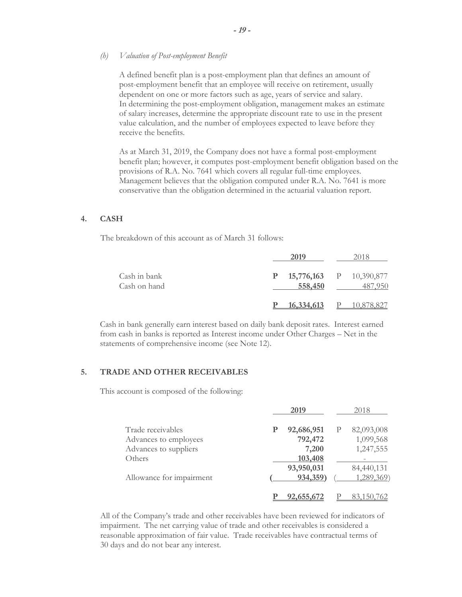#### $(h)$ Valuation of Post-employment Benefit

A defined benefit plan is a post-employment plan that defines an amount of post-employment benefit that an employee will receive on retirement, usually dependent on one or more factors such as age, years of service and salary. In determining the post-employment obligation, management makes an estimate of salary increases, determine the appropriate discount rate to use in the present value calculation, and the number of employees expected to leave before they receive the benefits.

As at March 31, 2019, the Company does not have a formal post-employment benefit plan; however, it computes post-employment benefit obligation based on the provisions of R.A. No. 7641 which covers all regular full-time employees. Management believes that the obligation computed under R.A. No. 7641 is more conservative than the obligation determined in the actuarial valuation report.

#### $4.$ **CASH**

The breakdown of this account as of March 31 follows:

|                              |   | 2019       |                                |
|------------------------------|---|------------|--------------------------------|
| Cash in bank<br>Cash on hand | P | 558,450    | <b>15,776,163</b> P 10,390,877 |
|                              |   | 16,334,613 | 18,827                         |

Cash in bank generally earn interest based on daily bank deposit rates. Interest earned from cash in banks is reported as Interest income under Other Charges – Net in the statements of comprehensive income (see Note 12).

#### 5. **TRADE AND OTHER RECEIVABLES**

This account is composed of the following:

|                          | 2019       | 2018       |
|--------------------------|------------|------------|
| Trade receivables        | 92,686,951 | 82,093,008 |
| Advances to employees    | 792,472    | 1,099,568  |
| Advances to suppliers    | 7,200      | 1,247,555  |
| Others                   | 103,408    |            |
|                          | 93,950,031 | 84,440,131 |
| Allowance for impairment | 934,359)   | 1,289,369) |
|                          |            |            |
|                          | 92,655,672 |            |

All of the Company's trade and other receivables have been reviewed for indicators of impairment. The net carrying value of trade and other receivables is considered a reasonable approximation of fair value. Trade receivables have contractual terms of 30 days and do not bear any interest.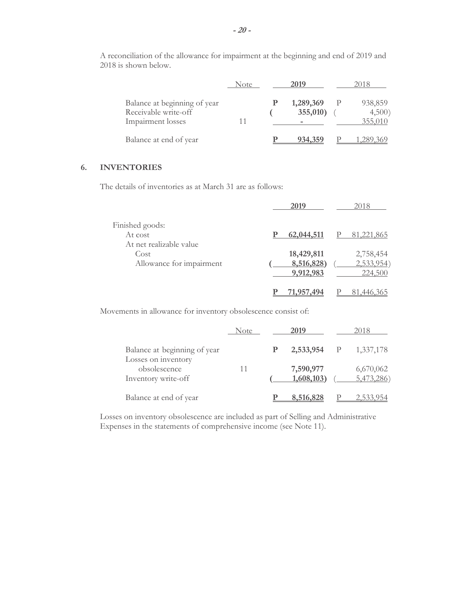|                                                                           | Note |   | 2019                  | 2018                         |
|---------------------------------------------------------------------------|------|---|-----------------------|------------------------------|
| Balance at beginning of year<br>Receivable write-off<br>Impairment losses |      | P | 1,289,369<br>355,010) | 938,859<br>4,500)<br>355,010 |
| Balance at end of year                                                    |      |   | 934,359               | 1.289.369                    |

A reconciliation of the allowance for impairment at the beginning and end of 2019 and 2018 is shown below.

### 6. **INVENTORIES**

The details of inventories as at March 31 are as follows:

|                          | 2019       | 2018       |
|--------------------------|------------|------------|
| Finished goods:          |            |            |
| At cost                  | 62,044,511 | 81,221,865 |
| At net realizable value  |            |            |
| Cost                     | 18,429,811 | 2,758,454  |
| Allowance for impairment | 8,516,828) | 2,533,954) |
|                          | 9,912,983  | 224,500    |
|                          | 71.957.494 | 81 446 365 |

Movements in allowance for inventory obsolescence consist of:

|                                                            | Note | 2019                   | 2018                    |
|------------------------------------------------------------|------|------------------------|-------------------------|
| Balance at beginning of year                               |      | 2,533,954 P            | 1,337,178               |
| Losses on inventory<br>obsolescence<br>Inventory write-off | 11   | 7,590,977<br>1,608,103 | 6,670,062<br>5,473,286) |
| Balance at end of year                                     |      | 8,516,828              |                         |

Losses on inventory obsolescence are included as part of Selling and Administrative Expenses in the statements of comprehensive income (see Note 11).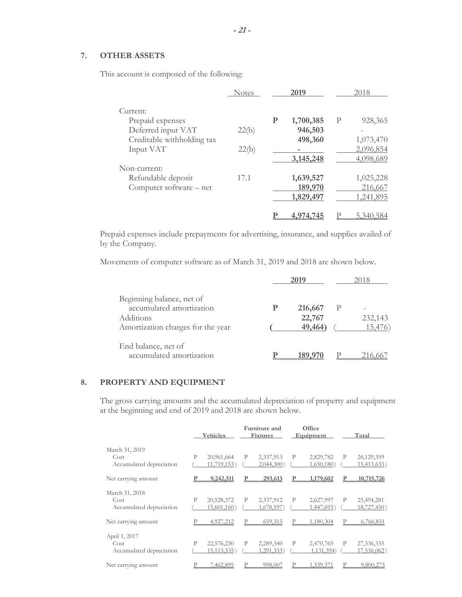### 7. **OTHER ASSETS**

This account is composed of the following:

|                            | <b>Notes</b> |   | 2019      | 2018 |           |  |
|----------------------------|--------------|---|-----------|------|-----------|--|
| Current:                   |              |   |           |      |           |  |
| Prepaid expenses           |              | P | 1,700,385 | P    | 928,365   |  |
| Deferred input VAT         | 22(b)        |   | 946,503   |      |           |  |
| Creditable withholding tax |              |   | 498,360   |      | 1,073,470 |  |
| Input VAT                  | 22(b)        |   |           |      | 2,096,854 |  |
|                            |              |   | 3,145,248 |      | 4,098,689 |  |
| Non-current:               |              |   |           |      |           |  |
| Refundable deposit         | 17.1         |   | 1,639,527 |      | 1,025,228 |  |
| Computer software – net    |              |   | 189,970   |      | 216,667   |  |
|                            |              |   | 1,829,497 |      | 1,241,895 |  |
|                            |              |   |           |      |           |  |
|                            |              |   | 4,974,745 |      | 5.340.584 |  |

Prepaid expenses include prepayments for advertising, insurance, and supplies availed of by the Company.

Movements of computer software as of March 31, 2019 and 2018 are shown below.

|                                                                                                         |   | 2019                        |   | 2018              |
|---------------------------------------------------------------------------------------------------------|---|-----------------------------|---|-------------------|
| Beginning balance, net of<br>accumulated amortization<br>Additions<br>Amortization charges for the year | Р | 216,667<br>22,767<br>49,464 | P | 232,143<br>15,476 |
| End balance, net of<br>accumulated amortization                                                         |   |                             |   |                   |

### PROPERTY AND EQUIPMENT 8.

The gross carrying amounts and the accumulated depreciation of property and equipment at the beginning and end of 2019 and 2018 are shown below.

|                                                    |   | <b>Vehicles</b>            |   | Furniture and<br><b>Fixtures</b> |   | Office<br>Equipment     |   | Total                        |
|----------------------------------------------------|---|----------------------------|---|----------------------------------|---|-------------------------|---|------------------------------|
| March 31, 2019<br>Cost<br>Accumulated depreciation | P | 20,961,664<br>11,719,153   | P | 2,337,913<br>2,044,300)          | P | 2,829,782<br>1,650,180) | P | 26,129,359<br>15,413,633)    |
| Net carrying amount                                |   | 9,242,511                  |   | 293,613                          |   | 1,179,602               |   | 10,715,726                   |
| March 31, 2018<br>Cost<br>Accumulated depreciation | P | 20,528,372<br>15,601,160   | P | 2,337,912<br>1,678,597           | P | 2,627,997<br>1,447,693` | P | 25,494,281<br>18,727,450)    |
| Net carrying amount                                |   | 4,927,212                  |   | 659,315                          |   | 1.180.304               |   | 6,766,831                    |
| April 1, 2017<br>Cost<br>Accumulated depreciation  | P | 22,576,230<br>15, 113, 335 | P | 2,289,340<br>1,291,333)          | P | 2,470,765<br>1,131,394) | P | 27,336,335<br>$17,536,062$ ) |
| Net carrying amount                                |   | 7,462,895                  |   | 998,007                          |   | 1.339.371               |   | 9,800,273                    |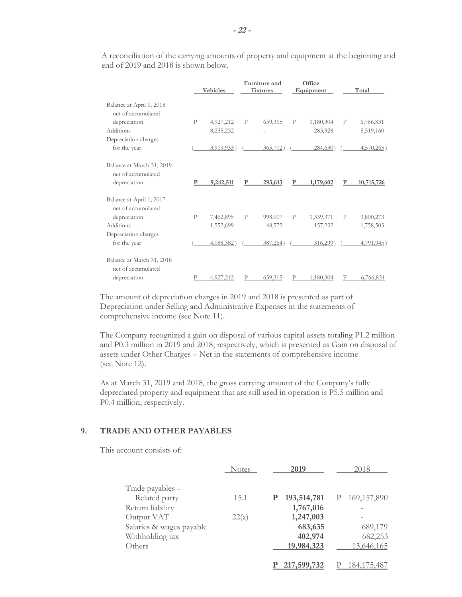|                                                 |              | <b>Vehicles</b> |   | Furniture and<br>Fixtures |   | Office<br>Equipment |   | Total         |
|-------------------------------------------------|--------------|-----------------|---|---------------------------|---|---------------------|---|---------------|
| Balance at April 1, 2018<br>net of accumulated  |              |                 |   |                           |   |                     |   |               |
| depreciation                                    | P            | 4,927,212       | P | 659,315                   | P | 1,180,304           | P | 6,766,831     |
| Additions                                       |              | 8,235,232       |   |                           |   | 283,928             |   | 8,519,160     |
| Depreciation charges                            |              |                 |   |                           |   |                     |   |               |
| for the year                                    |              | 3,919,933       |   | 365,702                   |   | 284,630)            |   | $4,570,265$ ) |
| Balance at March 31, 2019<br>net of accumulated |              |                 |   |                           |   |                     |   |               |
| depreciation                                    |              | 9,242,511       |   | 293.613                   |   | 1,179,602           |   | 10,715,726    |
| Balance at April 1, 2017<br>net of accumulated  |              |                 |   |                           |   |                     |   |               |
| depreciation                                    | $\mathbf{P}$ | 7,462,895       | P | 998,007                   | P | 1,339,371           | P | 9,800,273     |
| Additions                                       |              | 1,552,699       |   | 48,572                    |   | 157,232             |   | 1,758,503     |
| Depreciation charges                            |              |                 |   |                           |   |                     |   |               |
| for the year                                    |              | $4,088,382$ )   |   | 387,264)                  |   | 316,299             |   | 4,791,945)    |
| Balance at March 31, 2018<br>net of accumulated |              |                 |   |                           |   |                     |   |               |
| depreciation                                    |              | 4,927,212       |   | 659,315                   |   | 1,180,304           |   | 6,766,831     |

A reconciliation of the carrying amounts of property and equipment at the beginning and end of 2019 and 2018 is shown below.

The amount of depreciation charges in 2019 and 2018 is presented as part of Depreciation under Selling and Administrative Expenses in the statements of comprehensive income (see Note 11).

The Company recognized a gain on disposal of various capital assets totaling P1.2 million and P0.3 million in 2019 and 2018, respectively, which is presented as Gain on disposal of assets under Other Charges - Net in the statements of comprehensive income (see Note 12).

As at March 31, 2019 and 2018, the gross carrying amount of the Company's fully depreciated property and equipment that are still used in operation is P5.5 million and P0.4 million, respectively.

### 9. **TRADE AND OTHER PAYABLES**

This account consists of:

|                          | <b>Notes</b> | 2019        | 2018        |
|--------------------------|--------------|-------------|-------------|
| Trade payables –         |              |             |             |
| Related party            | 15.1         | 193,514,781 | 169,157,890 |
| Return liability         |              | 1,767,016   |             |
| Output VAT               | 22(a)        | 1,247,003   |             |
| Salaries & wages payable |              | 683,635     | 689,179     |
| Withholding tax          |              | 402,974     | 682,253     |
| Others                   |              | 19,984,323  | 13,646,165  |
|                          |              | 217,599,732 | 184,175,487 |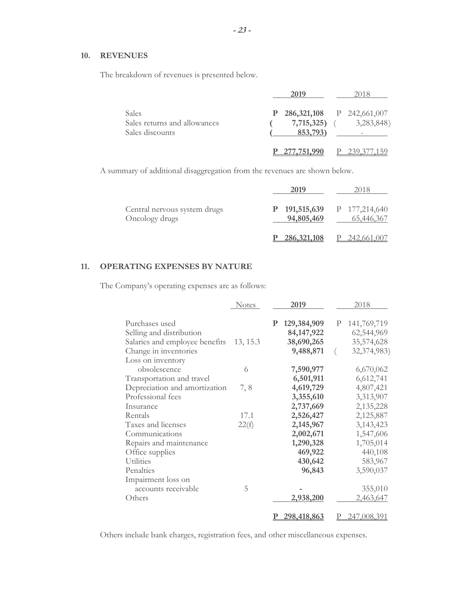# 10. REVENUES

The breakdown of revenues is presented below.

|                                                          | 2019<br>2018                                                                                                    |
|----------------------------------------------------------|-----------------------------------------------------------------------------------------------------------------|
| Sales<br>Sales returns and allowances<br>Sales discounts | <b>P</b> 286,321,108 P 242,661,007<br>$7,715,325$ ( $3,283,848$ )<br>853,793)<br>the committee of the committee |
|                                                          | 277,751,990<br>239.37                                                                                           |

A summary of additional disaggregation from the revenues are shown below.

| Central nervous system drugs<br>Oncology drugs | 94,805,469  | <b>P</b> 191,515,639 P 177,214,640<br>65,446,367 |
|------------------------------------------------|-------------|--------------------------------------------------|
|                                                | 286,321,108 | 242,661,007                                      |

### **OPERATING EXPENSES BY NATURE**  $11.$

The Company's operating expenses are as follows:

|                                                                | <b>Notes</b>  | 2019                                |   | 2018                                |
|----------------------------------------------------------------|---------------|-------------------------------------|---|-------------------------------------|
| Purchases used<br>Selling and distribution                     |               | 129,384,909<br>P<br>84, 147, 922    | P | 141,769,719<br>62,544,969           |
| Salaries and employee benefits<br>Change in inventories        | 13, 15.3      | 38,690,265<br>9,488,871             |   | 35,574,628<br>32,374,983)           |
| Loss on inventory<br>obsolescence<br>Transportation and travel | 6             | 7,590,977<br>6,501,911              |   | 6,670,062<br>6,612,741              |
| Depreciation and amortization<br>Professional fees             | 7,8           | 4,619,729<br>3,355,610              |   | 4,807,421<br>3,313,907              |
| Insurance<br>Rentals<br>Taxes and licenses                     | 17.1<br>22(f) | 2,737,669<br>2,526,427<br>2,145,967 |   | 2,135,228<br>2,125,887<br>3,143,423 |
| Communications<br>Repairs and maintenance                      |               | 2,002,671<br>1,290,328              |   | 1,547,606<br>1,705,014              |
| Office supplies<br><b>Utilities</b><br>Penalties               |               | 469,922<br>430,642<br>96,843        |   | 440,108<br>583,967<br>3,590,037     |
| Impairment loss on<br>accounts receivable                      | 5             |                                     |   | 355,010                             |
| Others                                                         |               | 2,938,200<br>P 298,418,863          |   | 2,463,647<br>P 247,008,391          |

Others include bank charges, registration fees, and other miscellaneous expenses.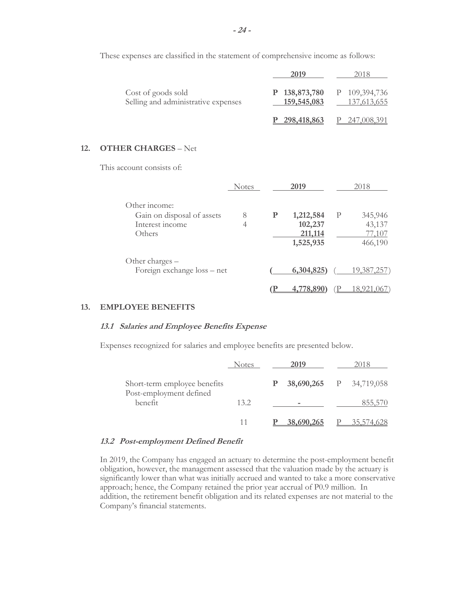These expenses are classified in the statement of comprehensive income as follows:

|                                                           | 2019                         | 701 X                               |
|-----------------------------------------------------------|------------------------------|-------------------------------------|
| Cost of goods sold<br>Selling and administrative expenses | P 138,873,780<br>159,545,083 | P 109,394,736<br><u>137,613,655</u> |
|                                                           | 298,418,863                  | 247,008,391                         |

#### **OTHER CHARGES - Net**  $12.$

This account consists of:

|                                                                          | <b>Notes</b> |   | 2019                                         |   | 2018                                   |
|--------------------------------------------------------------------------|--------------|---|----------------------------------------------|---|----------------------------------------|
| Other income:<br>Gain on disposal of assets<br>Interest income<br>Others | 8<br>4       | P | 1,212,584<br>102,237<br>211,114<br>1,525,935 | P | 345,946<br>43,137<br>77,107<br>466,190 |
| Other charges –<br>Foreign exchange loss - net                           |              |   | 6,304,825                                    |   | 19,387,257)                            |
|                                                                          |              |   |                                              |   |                                        |

### 13. EMPLOYEE BENEFITS

### 13.1 Salaries and Employee Benefits Expense

Expenses recognized for salaries and employee benefits are presented below.

|                                                         | Notes |                         |              |
|---------------------------------------------------------|-------|-------------------------|--------------|
| Short-term employee benefits<br>Post-employment defined |       | 38,690,265 P 34,719,058 |              |
| benefit                                                 | 13.2  |                         | 855,570      |
|                                                         |       | 38,690,265              | P 35,574,628 |

### 13.2 Post-employment Defined Benefit

In 2019, the Company has engaged an actuary to determine the post-employment benefit obligation, however, the management assessed that the valuation made by the actuary is significantly lower than what was initially accrued and wanted to take a more conservative approach; hence, the Company retained the prior year accrual of P0.9 million. In addition, the retirement benefit obligation and its related expenses are not material to the Company's financial statements.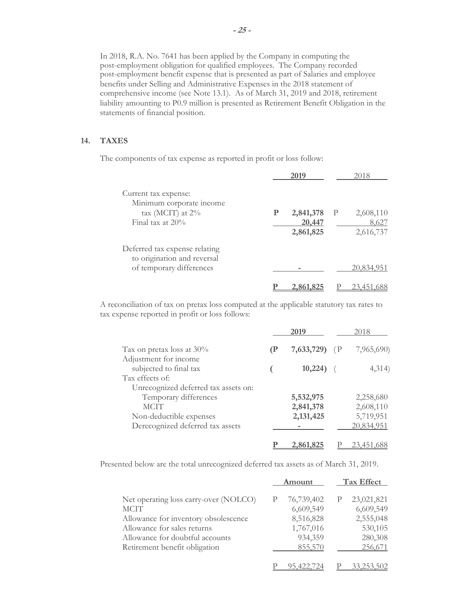In 2018, R.A. No. 7641 has been applied by the Company in computing the post-employment obligation for qualified employees. The Company recorded post-employment benefit expense that is presented as part of Salaries and employee benefits under Selling and Administrative Expenses in the 2018 statement of comprehensive income (see Note 13.1). As of March 31, 2019 and 2018, retirement liability amounting to P0.9 million is presented as Retirement Benefit Obligation in the statements of financial position.

### **TAXES** 14.

The components of tax expense as reported in profit or loss follow:

|                                                                                                |   | 2019                             |   | 2018                            |
|------------------------------------------------------------------------------------------------|---|----------------------------------|---|---------------------------------|
| Current tax expense:<br>Minimum corporate income<br>tax (MCIT) at $2\%$<br>Final tax at $20\%$ | P | 2,841,378<br>20,447<br>2,861,825 | P | 2,608,110<br>8,627<br>2,616,737 |
| Deferred tax expense relating<br>to origination and reversal<br>of temporary differences       |   |                                  |   | 20,834,951                      |
|                                                                                                |   | 2,861,825                        |   |                                 |

A reconciliation of tax on pretax loss computed at the applicable statutory tax rates to tax expense reported in profit or loss follows:

|                                                 |    | 2019       |                                                                                                                                                                                                                                                                                                                                                                                                                                    | 2018       |
|-------------------------------------------------|----|------------|------------------------------------------------------------------------------------------------------------------------------------------------------------------------------------------------------------------------------------------------------------------------------------------------------------------------------------------------------------------------------------------------------------------------------------|------------|
| Tax on pretax loss at $30\%$                    | (P | 7,633,729) | $\left( \right.$ $\left. \right.$ $\left. \right.$ $\left. \right.$ $\left. \right.$ $\left. \right.$ $\left. \right.$ $\left. \right.$ $\left. \right.$ $\left. \right.$ $\left. \right.$ $\left. \right.$ $\left. \right.$ $\left. \right.$ $\left. \right.$ $\left. \right.$ $\left. \right.$ $\left. \right.$ $\left. \right.$ $\left. \right.$ $\left. \right.$ $\left. \right.$ $\left. \right.$ $\left. \right.$ $\left. \$ | 7,965,690) |
| Adjustment for income<br>subjected to final tax |    | 10,224)    |                                                                                                                                                                                                                                                                                                                                                                                                                                    | 4,314)     |
| Tax effects of:                                 |    |            |                                                                                                                                                                                                                                                                                                                                                                                                                                    |            |
| Unrecognized deferred tax assets on:            |    |            |                                                                                                                                                                                                                                                                                                                                                                                                                                    |            |
| Temporary differences                           |    | 5,532,975  |                                                                                                                                                                                                                                                                                                                                                                                                                                    | 2,258,680  |
| <b>MCIT</b>                                     |    | 2,841,378  |                                                                                                                                                                                                                                                                                                                                                                                                                                    | 2,608,110  |
| Non-deductible expenses                         |    | 2,131,425  |                                                                                                                                                                                                                                                                                                                                                                                                                                    | 5,719,951  |
| Derecognized deferred tax assets                |    |            |                                                                                                                                                                                                                                                                                                                                                                                                                                    | 20,834,951 |
|                                                 |    | 2,861,825  |                                                                                                                                                                                                                                                                                                                                                                                                                                    | 23,451,688 |

Presented below are the total unrecognized deferred tax assets as of March 31, 2019.

|                                                     |   | Amount                 | Tax Effect             |
|-----------------------------------------------------|---|------------------------|------------------------|
| Net operating loss carry-over (NOLCO)               | P | 76,739,402             | 23,021,821             |
| <b>MCIT</b><br>Allowance for inventory obsolescence |   | 6,609,549<br>8,516,828 | 6,609,549<br>2,555,048 |
| Allowance for sales returns                         |   | 1,767,016              | 530,105                |
| Allowance for doubtful accounts                     |   | 934,359                | 280,308                |
| Retirement benefit obligation                       |   | 855,570                | 256,671                |
|                                                     |   |                        |                        |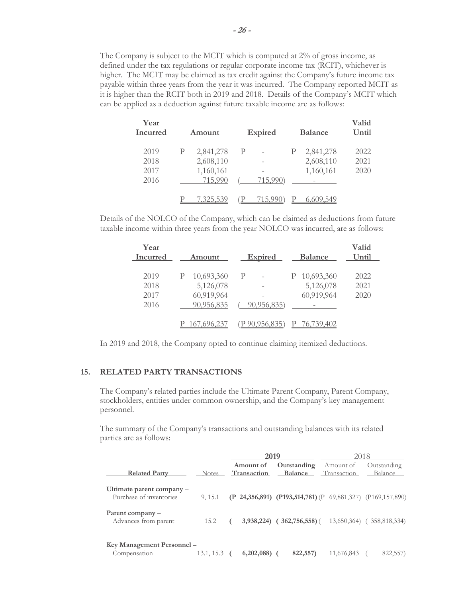The Company is subject to the MCIT which is computed at 2% of gross income, as defined under the tax regulations or regular corporate income tax (RCIT), whichever is higher. The MCIT may be claimed as tax credit against the Company's future income tax payable within three years from the year it was incurred. The Company reported MCIT as it is higher than the RCIT both in 2019 and 2018. Details of the Company's MCIT which can be applied as a deduction against future taxable income are as follows:

| Year<br>Incurred |   | Amount    |   | <b>Expired</b> | <b>Balance</b> | Valid<br>Until |
|------------------|---|-----------|---|----------------|----------------|----------------|
| 2019             | Р | 2,841,278 | P |                | 2,841,278      | 2022           |
| 2018             |   | 2,608,110 |   |                | 2,608,110      | 2021           |
| 2017             |   | 1,160,161 |   |                | 1,160,161      | 2020           |
| 2016             |   | 715,990   |   | 715,990)       |                |                |
|                  |   |           |   |                |                |                |
|                  |   | 325,539,  |   | Ć.             |                |                |

Details of the NOLCO of the Company, which can be claimed as deductions from future taxable income within three years from the year NOLCO was incurred, are as follows:

| Year<br><b>Incurred</b> | Amount          | <b>Expired</b> | <b>Balance</b> | Valid<br>Until |
|-------------------------|-----------------|----------------|----------------|----------------|
|                         |                 |                |                |                |
| 2019                    | 10,693,360<br>Р | P              | P 10,693,360   | 2022           |
| 2018                    | 5,126,078       |                | 5,126,078      | 2021           |
| 2017                    | 60,919,964      |                | 60,919,964     | 2020           |
| 2016                    | 90,956,835      | 90,956,835     |                |                |
|                         |                 |                |                |                |
|                         |                 | 90 956 835     |                |                |

In 2019 and 2018, the Company opted to continue claiming itemized deductions.

#### 15. RELATED PARTY TRANSACTIONS

The Company's related parties include the Ultimate Parent Company, Parent Company, stockholders, entities under common ownership, and the Company's key management personnel.

The summary of the Company's transactions and outstanding balances with its related parties are as follows:

|                                                        |              | 2019                                                        |  | 2018                   |                                                                |                        |
|--------------------------------------------------------|--------------|-------------------------------------------------------------|--|------------------------|----------------------------------------------------------------|------------------------|
| <b>Related Party</b>                                   | <b>Notes</b> | Amount of<br>Transaction                                    |  | Outstanding<br>Balance | Amount of<br>Transaction                                       | Outstanding<br>Balance |
| Ultimate parent company $-$<br>Purchase of inventories | 9, 15.1      | (P 24,356,891) (P193,514,781) (P 69,881,327) (P169,157,890) |  |                        |                                                                |                        |
| Parent company –<br>Advances from parent               | 15.2         |                                                             |  |                        | <b>3,938,224)</b> (362,756,558) ( $13,650,364$ ) (358,818,334) |                        |
| Key Management Personnel -<br>Compensation             | 13.1, 15.3   | 6,202,088                                                   |  | 822,557)               | 11.676.843                                                     | 822,557)               |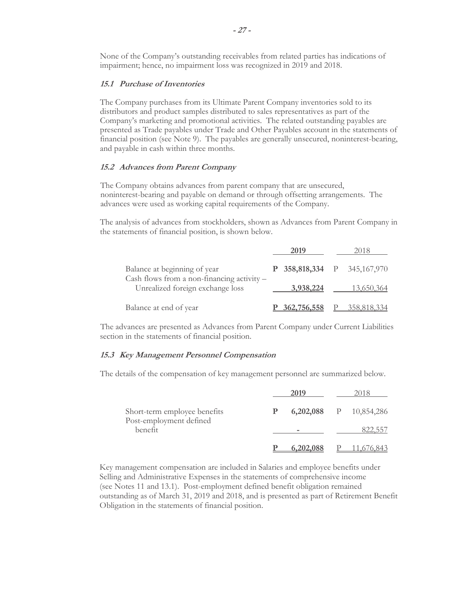None of the Company's outstanding receivables from related parties has indications of impairment; hence, no impairment loss was recognized in 2019 and 2018.

### **15.1 Purchase of Inventories**

The Company purchases from its Ultimate Parent Company inventories sold to its distributors and product samples distributed to sales representatives as part of the Company's marketing and promotional activities. The related outstanding payables are presented as Trade payables under Trade and Other Payables account in the statements of financial position (see Note 9). The payables are generally unsecured, noninterest-bearing, and payable in cash within three months.

### 15.2 Advances from Parent Company

The Company obtains advances from parent company that are unsecured, noninterest-bearing and payable on demand or through offsetting arrangements. The advances were used as working capital requirements of the Company.

The analysis of advances from stockholders, shown as Advances from Parent Company in the statements of financial position, is shown below.

|                                                                            |    | 2019                      | 2018              |
|----------------------------------------------------------------------------|----|---------------------------|-------------------|
| Balance at beginning of year<br>Cash flows from a non-financing activity - | P. | 358,818,334 P 345,167,970 |                   |
| Unrealized foreign exchange loss                                           |    | 3,938,224                 | <u>13,650,364</u> |
| Balance at end of year                                                     |    | 362,756,558               | 358,818,334       |

The advances are presented as Advances from Parent Company under Current Liabilities section in the statements of financial position.

### 15.3 Key Management Personnel Compensation

The details of the compensation of key management personnel are summarized below.

|                                                         |   | 2019      | 2018                   |
|---------------------------------------------------------|---|-----------|------------------------|
| Short-term employee benefits<br>Post-employment defined | P |           | 6,202,088 P 10,854,286 |
| benefit                                                 |   |           | 822,557                |
|                                                         |   | 6,202,088 |                        |

Key management compensation are included in Salaries and employee benefits under Selling and Administrative Expenses in the statements of comprehensive income (see Notes 11 and 13.1). Post-employment defined benefit obligation remained outstanding as of March 31, 2019 and 2018, and is presented as part of Retirement Benefit Obligation in the statements of financial position.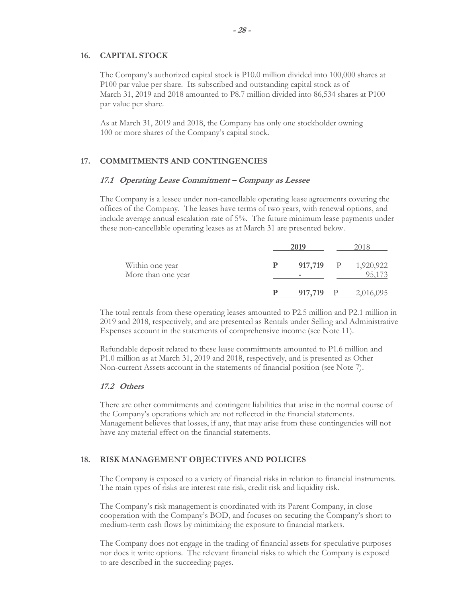### 16. CAPITAL STOCK

The Company's authorized capital stock is P10.0 million divided into 100,000 shares at P100 par value per share. Its subscribed and outstanding capital stock as of March 31, 2019 and 2018 amounted to P8.7 million divided into 86,534 shares at P100 par value per share.

As at March 31, 2019 and 2018, the Company has only one stockholder owning 100 or more shares of the Company's capital stock.

### $17.$ **COMMITMENTS AND CONTINGENCIES**

# 17.1 Operating Lease Commitment – Company as Lessee

The Company is a lessee under non-cancellable operating lease agreements covering the offices of the Company. The leases have terms of two years, with renewal options, and include average annual escalation rate of 5%. The future minimum lease payments under these non-cancellable operating leases as at March 31 are presented below.

|                                       |   | 2019         |              | 2018                |
|---------------------------------------|---|--------------|--------------|---------------------|
| Within one year<br>More than one year | P | 917,719<br>۰ | $\mathbf{P}$ | 1,920,922<br>95,173 |
|                                       |   | 917.719      |              | 4.016.095           |

The total rentals from these operating leases amounted to P2.5 million and P2.1 million in 2019 and 2018, respectively, and are presented as Rentals under Selling and Administrative Expenses account in the statements of comprehensive income (see Note 11).

Refundable deposit related to these lease commitments amounted to P1.6 million and P1.0 million as at March 31, 2019 and 2018, respectively, and is presented as Other Non-current Assets account in the statements of financial position (see Note 7).

# 17.2 Others

There are other commitments and contingent liabilities that arise in the normal course of the Company's operations which are not reflected in the financial statements. Management believes that losses, if any, that may arise from these contingencies will not have any material effect on the financial statements.

### 18. RISK MANAGEMENT OBJECTIVES AND POLICIES

The Company is exposed to a variety of financial risks in relation to financial instruments. The main types of risks are interest rate risk, credit risk and liquidity risk.

The Company's risk management is coordinated with its Parent Company, in close cooperation with the Company's BOD, and focuses on securing the Company's short to medium-term cash flows by minimizing the exposure to financial markets.

The Company does not engage in the trading of financial assets for speculative purposes nor does it write options. The relevant financial risks to which the Company is exposed to are described in the succeeding pages.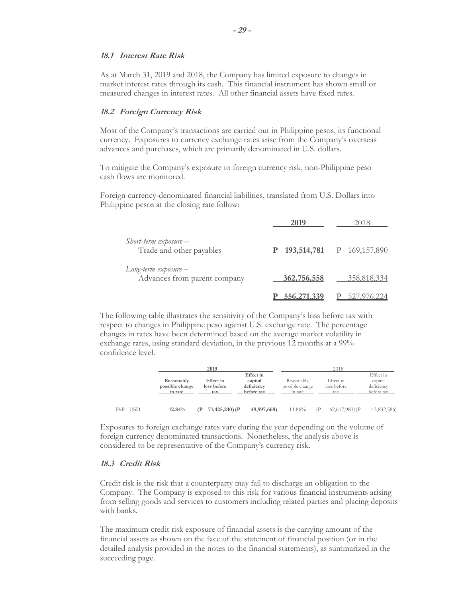# 18.1 Interest Rate Risk

As at March 31, 2019 and 2018, the Company has limited exposure to changes in market interest rates through its cash. This financial instrument has shown small or measured changes in interest rates. All other financial assets have fixed rates.

# 18.2 Foreign Currency Risk

Most of the Company's transactions are carried out in Philippine pesos, its functional currency. Exposures to currency exchange rates arise from the Company's overseas advances and purchases, which are primarily denominated in U.S. dollars.

To mitigate the Company's exposure to foreign currency risk, non-Philippine peso cash flows are monitored.

Foreign currency-denominated financial liabilities, translated from U.S. Dollars into Philippine pesos at the closing rate follow:

|                                                          | 2019        | 2018                      |
|----------------------------------------------------------|-------------|---------------------------|
| $Short-term$ exposure $-$<br>Trade and other payables    |             | 193,514,781 P 169,157,890 |
| $Long-term$ exposure $-$<br>Advances from parent company | 362,756,558 | 358,818,334               |
|                                                          | 556,271,339 |                           |

The following table illustrates the sensitivity of the Company's loss before tax with respect to changes in Philippine peso against U.S. exchange rate. The percentage changes in rates have been determined based on the average market volatility in exchange rates, using standard deviation, in the previous 12 months at a 99% confidence level.

|           |                                          | 2019                            |                                                  |                                          |   | 2018                            |                                                  |
|-----------|------------------------------------------|---------------------------------|--------------------------------------------------|------------------------------------------|---|---------------------------------|--------------------------------------------------|
|           | Reasonably<br>possible change<br>in rate | Effect in<br>loss before<br>tax | Effect in<br>capital<br>deficiency<br>before tax | Reasonably<br>possible change<br>in rate |   | Effect in<br>loss before<br>tax | Effect in<br>capital<br>deficiency<br>before tax |
| PhP - USD | 12.84%                                   | $71,425,240)$ (P<br>(P          | 49,997,668)                                      | 11.86%                                   | Ρ | $62,617,980$ (P                 | 43,832,586)                                      |

Exposures to foreign exchange rates vary during the year depending on the volume of foreign currency denominated transactions. Nonetheless, the analysis above is considered to be representative of the Company's currency risk.

### 18.3 Credit Risk

Credit risk is the risk that a counterparty may fail to discharge an obligation to the Company. The Company is exposed to this risk for various financial instruments arising from selling goods and services to customers including related parties and placing deposits with banks.

The maximum credit risk exposure of financial assets is the carrying amount of the financial assets as shown on the face of the statement of financial position (or in the detailed analysis provided in the notes to the financial statements), as summarized in the succeeding page.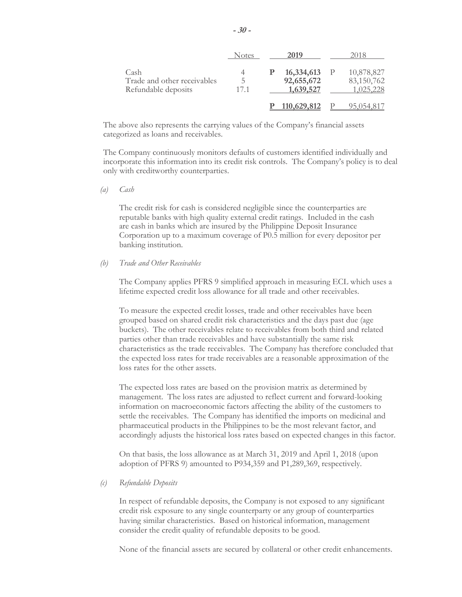|                                                            | <b>Notes</b> | 2019                                      | 2018                                  |
|------------------------------------------------------------|--------------|-------------------------------------------|---------------------------------------|
| Cash<br>Trade and other receivables<br>Refundable deposits | 5<br>17.1    | $16,334,613$ P<br>92,655,672<br>1,639,527 | 10,878,827<br>83,150,762<br>1,025,228 |
|                                                            |              | 110,629,812                               | 95,054,817                            |

The above also represents the carrying values of the Company's financial assets categorized as loans and receivables.

The Company continuously monitors defaults of customers identified individually and incorporate this information into its credit risk controls. The Company's policy is to deal only with creditworthy counterparties.

Cash  $(a)$ 

> The credit risk for cash is considered negligible since the counterparties are reputable banks with high quality external credit ratings. Included in the cash are cash in banks which are insured by the Philippine Deposit Insurance Corporation up to a maximum coverage of P0.5 million for every depositor per banking institution.

Trade and Other Receivables  $(b)$ 

> The Company applies PFRS 9 simplified approach in measuring ECL which uses a lifetime expected credit loss allowance for all trade and other receivables.

> To measure the expected credit losses, trade and other receivables have been grouped based on shared credit risk characteristics and the days past due (age buckets). The other receivables relate to receivables from both third and related parties other than trade receivables and have substantially the same risk characteristics as the trade receivables. The Company has therefore concluded that the expected loss rates for trade receivables are a reasonable approximation of the loss rates for the other assets.

> The expected loss rates are based on the provision matrix as determined by management. The loss rates are adjusted to reflect current and forward-looking information on macroeconomic factors affecting the ability of the customers to settle the receivables. The Company has identified the imports on medicinal and pharmaceutical products in the Philippines to be the most relevant factor, and accordingly adjusts the historical loss rates based on expected changes in this factor.

On that basis, the loss allowance as at March 31, 2019 and April 1, 2018 (upon adoption of PFRS 9) amounted to P934,359 and P1,289,369, respectively.

 $(c)$ Refundable Deposits

> In respect of refundable deposits, the Company is not exposed to any significant credit risk exposure to any single counterparty or any group of counterparties having similar characteristics. Based on historical information, management consider the credit quality of refundable deposits to be good.

None of the financial assets are secured by collateral or other credit enhancements.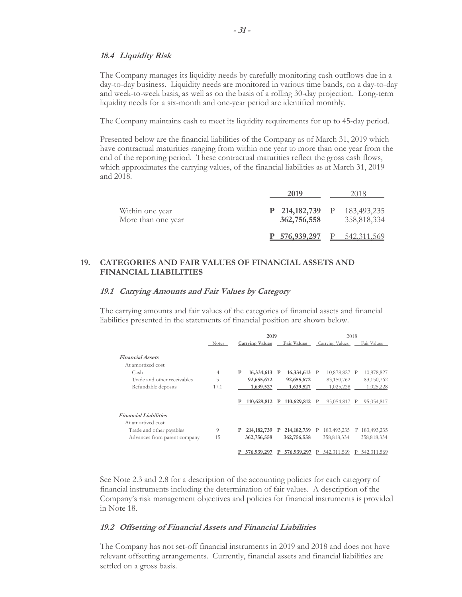### 18.4 Liquidity Risk

The Company manages its liquidity needs by carefully monitoring cash outflows due in a day-to-day business. Liquidity needs are monitored in various time bands, on a day-to-day and week-to-week basis, as well as on the basis of a rolling 30-day projection. Long-term liquidity needs for a six-month and one-year period are identified monthly.

The Company maintains cash to meet its liquidity requirements for up to 45-day period.

Presented below are the financial liabilities of the Company as of March 31, 2019 which have contractual maturities ranging from within one year to more than one year from the end of the reporting period. These contractual maturities reflect the gross cash flows, which approximates the carrying values, of the financial liabilities as at March 31, 2019 and 2018.

|                                       | 2019          | 2018                                                  |
|---------------------------------------|---------------|-------------------------------------------------------|
| Within one year<br>More than one year | 362,756,558   | <b>P</b> 214, 182, 739 P 183, 493, 235<br>358,818,334 |
|                                       | P 576,939,297 | <u>542,311,569</u>                                    |

### 19. CATEGORIES AND FAIR VALUES OF FINANCIAL ASSETS AND **FINANCIAL LIABILITIES**

### 19.1 Carrying Amounts and Fair Values by Category

The carrying amounts and fair values of the categories of financial assets and financial liabilities presented in the statements of financial position are shown below.

|                              |              | 2019                   |                    | 2018             |               |
|------------------------------|--------------|------------------------|--------------------|------------------|---------------|
|                              | <b>Notes</b> | <b>Carrying Values</b> | <b>Fair Values</b> | Carrying Values  | Fair Values   |
| <b>Financial Assets</b>      |              |                        |                    |                  |               |
| At amortized cost:           |              |                        |                    |                  |               |
| Cash                         | 4            | P<br>16,334,613 P      | 16,334,613 P       | 10,878,827 P     | 10,878,827    |
| Trade and other receivables  | 5            | 92,655,672             | 92,655,672         | 83,150,762       | 83,150,762    |
| Refundable deposits          | 17.1         | 1,639,527              | 1,639,527          | 1,025,228        | 1,025,228     |
|                              |              | 110,629,812            | 110,629,812        | 95,054,817       | 95,054,817    |
| <b>Financial Liabilities</b> |              |                        |                    |                  |               |
| At amortized cost:           |              |                        |                    |                  |               |
| Trade and other payables     | 9            | P<br>214, 182, 739     | 214, 182, 739<br>P | 183,493,235<br>P | P 183,493,235 |
| Advances from parent company | 15           | 362,756,558            | 362,756,558        | 358,818,334      | 358,818,334   |
|                              |              | 576,939,297            | 576,939,297        | 542,311,569      | 542, 311, 569 |

See Note 2.3 and 2.8 for a description of the accounting policies for each category of financial instruments including the determination of fair values. A description of the Company's risk management objectives and policies for financial instruments is provided in Note 18.

### 19.2 Offsetting of Financial Assets and Financial Liabilities

The Company has not set-off financial instruments in 2019 and 2018 and does not have relevant offsetting arrangements. Currently, financial assets and financial liabilities are settled on a gross basis.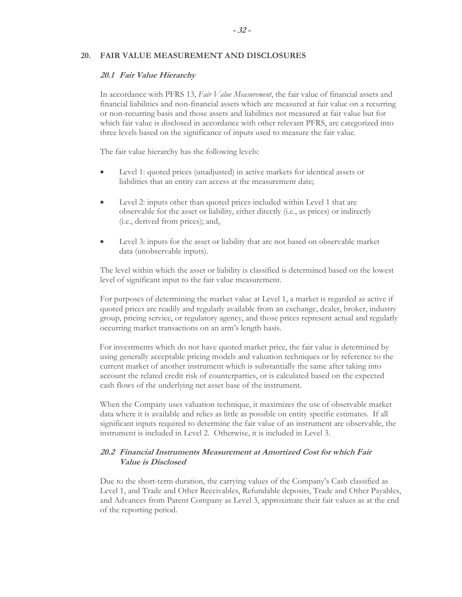### FAIR VALUE MEASUREMENT AND DISCLOSURES  $20<sub>1</sub>$

# 20.1 Fair Value Hierarchy

In accordance with PFRS 13, Fair Value Measurement, the fair value of financial assets and financial liabilities and non-financial assets which are measured at fair value on a recurring or non-recurring basis and those assets and liabilities not measured at fair value but for which fair value is disclosed in accordance with other relevant PFRS, are categorized into three levels based on the significance of inputs used to measure the fair value.

The fair value hierarchy has the following levels:

- Level 1: quoted prices (unadjusted) in active markets for identical assets or liabilities that an entity can access at the measurement date;
- Level 2: inputs other than quoted prices included within Level 1 that are observable for the asset or liability, either directly (i.e., as prices) or indirectly (i.e., derived from prices); and,
- Level 3: inputs for the asset or liability that are not based on observable market data (unobservable inputs).

The level within which the asset or liability is classified is determined based on the lowest level of significant input to the fair value measurement.

For purposes of determining the market value at Level 1, a market is regarded as active if quoted prices are readily and regularly available from an exchange, dealer, broker, industry group, pricing service, or regulatory agency, and those prices represent actual and regularly occurring market transactions on an arm's length basis.

For investments which do not have quoted market price, the fair value is determined by using generally acceptable pricing models and valuation techniques or by reference to the current market of another instrument which is substantially the same after taking into account the related credit risk of counterparties, or is calculated based on the expected cash flows of the underlying net asset base of the instrument.

When the Company uses valuation technique, it maximizes the use of observable market data where it is available and relies as little as possible on entity specific estimates. If all significant inputs required to determine the fair value of an instrument are observable, the instrument is included in Level 2. Otherwise, it is included in Level 3.

# 20.2 Financial Instruments Measurement at Amortized Cost for which Fair Value is Disclosed

Due to the short-term duration, the carrying values of the Company's Cash classified as Level 1, and Trade and Other Receivables, Refundable deposits, Trade and Other Payables, and Advances from Parent Company as Level 3, approximate their fair values as at the end of the reporting period.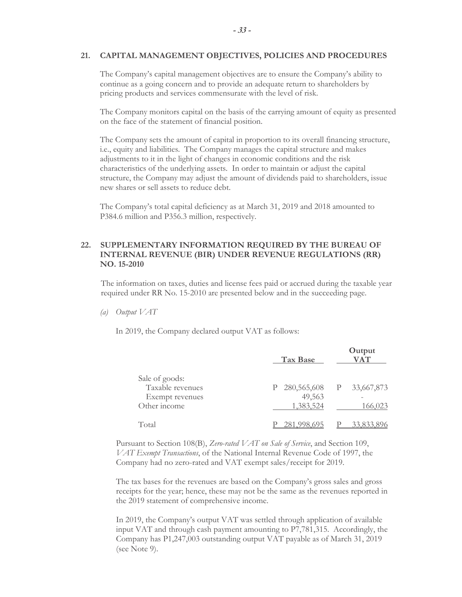#### **CAPITAL MANAGEMENT OBJECTIVES, POLICIES AND PROCEDURES** 21.

The Company's capital management objectives are to ensure the Company's ability to continue as a going concern and to provide an adequate return to shareholders by pricing products and services commensurate with the level of risk.

The Company monitors capital on the basis of the carrying amount of equity as presented on the face of the statement of financial position.

The Company sets the amount of capital in proportion to its overall financing structure, i.e., equity and liabilities. The Company manages the capital structure and makes adjustments to it in the light of changes in economic conditions and the risk characteristics of the underlying assets. In order to maintain or adjust the capital structure, the Company may adjust the amount of dividends paid to shareholders, issue new shares or sell assets to reduce debt.

The Company's total capital deficiency as at March 31, 2019 and 2018 amounted to P384.6 million and P356.3 million, respectively.

# 22. SUPPLEMENTARY INFORMATION REQUIRED BY THE BUREAU OF **INTERNAL REVENUE (BIR) UNDER REVENUE REGULATIONS (RR)** NO. 15-2010

The information on taxes, duties and license fees paid or accrued during the taxable year required under RR No. 15-2010 are presented below and in the succeeding page.

(a) Output  $VAT$ 

In 2019, the Company declared output VAT as follows:

|                                                                       | Tax Base                                 | Output<br>$\mathbf{VAT}$                          |  |
|-----------------------------------------------------------------------|------------------------------------------|---------------------------------------------------|--|
| Sale of goods:<br>Taxable revenues<br>Exempt revenues<br>Other income | $P$ 280,565,608 P<br>49,563<br>1,383,524 | 33,667,873<br>$\overline{\phantom{a}}$<br>166,023 |  |
| Total                                                                 |                                          |                                                   |  |

Pursuant to Section 108(B), Zero-rated VAT on Sale of Service, and Section 109, VAT Exempt Transactions, of the National Internal Revenue Code of 1997, the Company had no zero-rated and VAT exempt sales/receipt for 2019.

The tax bases for the revenues are based on the Company's gross sales and gross receipts for the year; hence, these may not be the same as the revenues reported in the 2019 statement of comprehensive income.

In 2019, the Company's output VAT was settled through application of available input VAT and through cash payment amounting to P7,781,315. Accordingly, the Company has P1,247,003 outstanding output VAT payable as of March 31, 2019 (see Note 9).